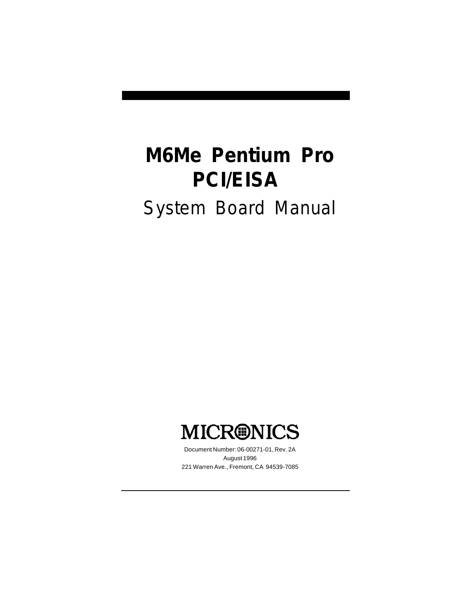# *M6Me Pentium Pro PCI/EISA System Board Manual*



Document Number: 06-00271-01, Rev. 2A August 1996 221 Warren Ave., Fremont, CA 94539-7085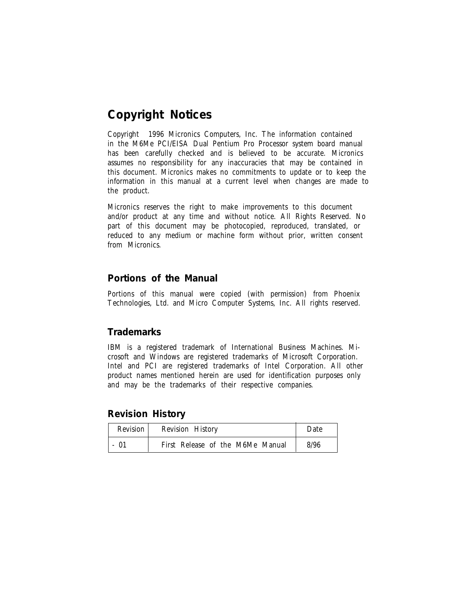# **Copyright Notices**

2 has been carefully checked and is believed to be accurate. Micronics Copyright  $\odot$  1996 Micronics Computers, Inc. The information contained in the M6Me PCI/EISA Dual Pentium Pro Processor system board manual assumes no responsibility for any inaccuracies that may be contained in this document. Micronics makes no commitments to update or to keep the information in this manual at a current level when changes are made to the product.

Micronics reserves the right to make improvements to this document and/or product at any time and without notice. All Rights Reserved. No part of this document may be photocopied, reproduced, translated, or reduced to any medium or machine form without prior, written consent from Micronics.

#### **Portions of the Manual**

Portions of this manual were copied (with permission) from Phoenix Technologies, Ltd. and Micro Computer Systems, Inc. All rights reserved.

#### **Trademarks**

IBM is a registered trademark of International Business Machines. Microsoft and Windows are registered trademarks of Microsoft Corporation. Intel and PCI are registered trademarks of Intel Corporation. All other product names mentioned herein are used for identification purposes only and may be the trademarks of their respective companies.

**Revision History**

| Revision | <b>Revision History</b>          | Date |
|----------|----------------------------------|------|
| - 01     | First Release of the M6Me Manual | 8/96 |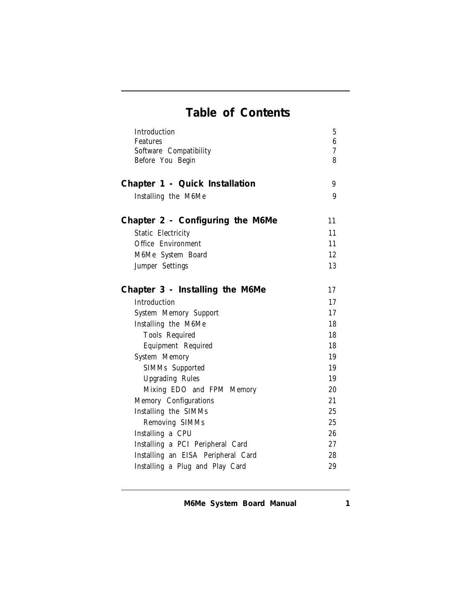# *Table of Contents*

| Introduction                               | 5      |
|--------------------------------------------|--------|
| <b>Features</b>                            | 6<br>7 |
| Software Compatibility<br>Before You Begin | 8      |
|                                            |        |
| Chapter 1 - Quick Installation             | 9      |
| Installing the M6Me                        | 9      |
| Chapter 2 - Configuring the M6Me           | 11     |
| <b>Static Electricity</b>                  | 11     |
| <b>Office Environment</b>                  | 11     |
| M6Me System Board                          | 12     |
| <b>Jumper Settings</b>                     | 13     |
| Chapter 3 - Installing the M6Me            | 17     |
| <b>Introduction</b>                        | 17     |
| <b>System Memory Support</b>               | 17     |
| Installing the M6Me                        | 18     |
| <b>Tools Required</b>                      | 18     |
| <b>Equipment Required</b>                  | 18     |
| <b>System Memory</b>                       | 19     |
| <b>SIMMs</b> Supported                     | 19     |
| <b>Upgrading Rules</b>                     | 19     |
| Mixing EDO and FPM Memory                  | 20     |
| <b>Memory Configurations</b>               | 21     |
| Installing the SIMMs                       | 25     |
| <b>Removing SIMMs</b>                      | 25     |
| Installing a CPU                           | 26     |
| Installing a PCI Peripheral Card           | 27     |
| Installing an EISA Peripheral Card         | 28     |
| Installing a Plug and Play Card            | 29     |

*M6Me System Board Manual*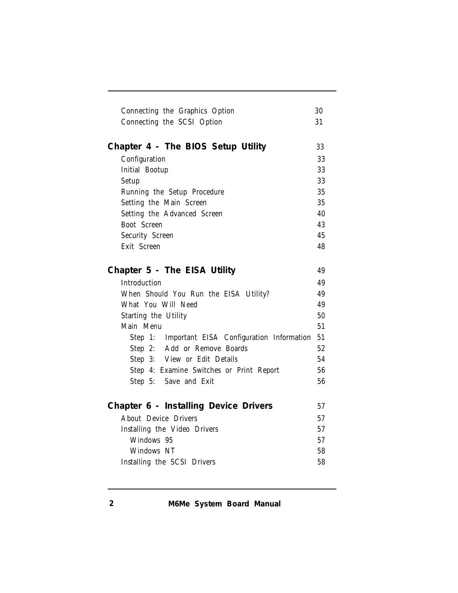| Connecting the Graphics Option<br>30<br>Connecting the SCSI Option<br>31<br>Chapter 4 - The BIOS Setup Utility<br>33<br>33<br>Configuration<br>33<br><b>Initial Bootup</b><br>33<br><b>Setup</b><br>35<br>Running the Setup Procedure<br>35<br>Setting the Main Screen<br>Setting the Advanced Screen<br>40<br><b>Boot Screen</b><br>43<br>45<br><b>Security Screen</b><br>Exit Screen<br>48<br>Chapter 5 - The EISA Utility<br>49<br><b>Introduction</b><br>49<br>When Should You Run the EISA Utility?<br>49<br>49<br>What You Will Need<br>50<br>Starting the Utility<br>51<br>Main Menu<br>51<br>Step 1: Important EISA Configuration Information<br>Step 2: Add or Remove Boards<br>52<br>Step 3: View or Edit Details<br>54<br>Step 4: Examine Switches or Print Report<br>56<br>56<br>Step 5: Save and Exit<br>Chapter 6 - Installing Device Drivers<br>57<br><b>About Device Drivers</b><br>57<br>57<br><b>Installing the Video Drivers</b><br>Windows 95<br>57<br>Windows NT<br>58 |                             |    |
|---------------------------------------------------------------------------------------------------------------------------------------------------------------------------------------------------------------------------------------------------------------------------------------------------------------------------------------------------------------------------------------------------------------------------------------------------------------------------------------------------------------------------------------------------------------------------------------------------------------------------------------------------------------------------------------------------------------------------------------------------------------------------------------------------------------------------------------------------------------------------------------------------------------------------------------------------------------------------------------------|-----------------------------|----|
|                                                                                                                                                                                                                                                                                                                                                                                                                                                                                                                                                                                                                                                                                                                                                                                                                                                                                                                                                                                             |                             |    |
|                                                                                                                                                                                                                                                                                                                                                                                                                                                                                                                                                                                                                                                                                                                                                                                                                                                                                                                                                                                             |                             |    |
|                                                                                                                                                                                                                                                                                                                                                                                                                                                                                                                                                                                                                                                                                                                                                                                                                                                                                                                                                                                             |                             |    |
|                                                                                                                                                                                                                                                                                                                                                                                                                                                                                                                                                                                                                                                                                                                                                                                                                                                                                                                                                                                             |                             |    |
|                                                                                                                                                                                                                                                                                                                                                                                                                                                                                                                                                                                                                                                                                                                                                                                                                                                                                                                                                                                             |                             |    |
|                                                                                                                                                                                                                                                                                                                                                                                                                                                                                                                                                                                                                                                                                                                                                                                                                                                                                                                                                                                             |                             |    |
|                                                                                                                                                                                                                                                                                                                                                                                                                                                                                                                                                                                                                                                                                                                                                                                                                                                                                                                                                                                             |                             |    |
|                                                                                                                                                                                                                                                                                                                                                                                                                                                                                                                                                                                                                                                                                                                                                                                                                                                                                                                                                                                             |                             |    |
|                                                                                                                                                                                                                                                                                                                                                                                                                                                                                                                                                                                                                                                                                                                                                                                                                                                                                                                                                                                             |                             |    |
|                                                                                                                                                                                                                                                                                                                                                                                                                                                                                                                                                                                                                                                                                                                                                                                                                                                                                                                                                                                             |                             |    |
|                                                                                                                                                                                                                                                                                                                                                                                                                                                                                                                                                                                                                                                                                                                                                                                                                                                                                                                                                                                             |                             |    |
|                                                                                                                                                                                                                                                                                                                                                                                                                                                                                                                                                                                                                                                                                                                                                                                                                                                                                                                                                                                             |                             |    |
|                                                                                                                                                                                                                                                                                                                                                                                                                                                                                                                                                                                                                                                                                                                                                                                                                                                                                                                                                                                             |                             |    |
|                                                                                                                                                                                                                                                                                                                                                                                                                                                                                                                                                                                                                                                                                                                                                                                                                                                                                                                                                                                             |                             |    |
|                                                                                                                                                                                                                                                                                                                                                                                                                                                                                                                                                                                                                                                                                                                                                                                                                                                                                                                                                                                             |                             |    |
|                                                                                                                                                                                                                                                                                                                                                                                                                                                                                                                                                                                                                                                                                                                                                                                                                                                                                                                                                                                             |                             |    |
|                                                                                                                                                                                                                                                                                                                                                                                                                                                                                                                                                                                                                                                                                                                                                                                                                                                                                                                                                                                             |                             |    |
|                                                                                                                                                                                                                                                                                                                                                                                                                                                                                                                                                                                                                                                                                                                                                                                                                                                                                                                                                                                             |                             |    |
|                                                                                                                                                                                                                                                                                                                                                                                                                                                                                                                                                                                                                                                                                                                                                                                                                                                                                                                                                                                             |                             |    |
|                                                                                                                                                                                                                                                                                                                                                                                                                                                                                                                                                                                                                                                                                                                                                                                                                                                                                                                                                                                             |                             |    |
|                                                                                                                                                                                                                                                                                                                                                                                                                                                                                                                                                                                                                                                                                                                                                                                                                                                                                                                                                                                             |                             |    |
|                                                                                                                                                                                                                                                                                                                                                                                                                                                                                                                                                                                                                                                                                                                                                                                                                                                                                                                                                                                             |                             |    |
|                                                                                                                                                                                                                                                                                                                                                                                                                                                                                                                                                                                                                                                                                                                                                                                                                                                                                                                                                                                             |                             |    |
|                                                                                                                                                                                                                                                                                                                                                                                                                                                                                                                                                                                                                                                                                                                                                                                                                                                                                                                                                                                             |                             |    |
|                                                                                                                                                                                                                                                                                                                                                                                                                                                                                                                                                                                                                                                                                                                                                                                                                                                                                                                                                                                             |                             |    |
|                                                                                                                                                                                                                                                                                                                                                                                                                                                                                                                                                                                                                                                                                                                                                                                                                                                                                                                                                                                             |                             |    |
|                                                                                                                                                                                                                                                                                                                                                                                                                                                                                                                                                                                                                                                                                                                                                                                                                                                                                                                                                                                             |                             |    |
|                                                                                                                                                                                                                                                                                                                                                                                                                                                                                                                                                                                                                                                                                                                                                                                                                                                                                                                                                                                             |                             |    |
|                                                                                                                                                                                                                                                                                                                                                                                                                                                                                                                                                                                                                                                                                                                                                                                                                                                                                                                                                                                             |                             |    |
|                                                                                                                                                                                                                                                                                                                                                                                                                                                                                                                                                                                                                                                                                                                                                                                                                                                                                                                                                                                             |                             |    |
|                                                                                                                                                                                                                                                                                                                                                                                                                                                                                                                                                                                                                                                                                                                                                                                                                                                                                                                                                                                             |                             |    |
|                                                                                                                                                                                                                                                                                                                                                                                                                                                                                                                                                                                                                                                                                                                                                                                                                                                                                                                                                                                             | Installing the SCSI Drivers | 58 |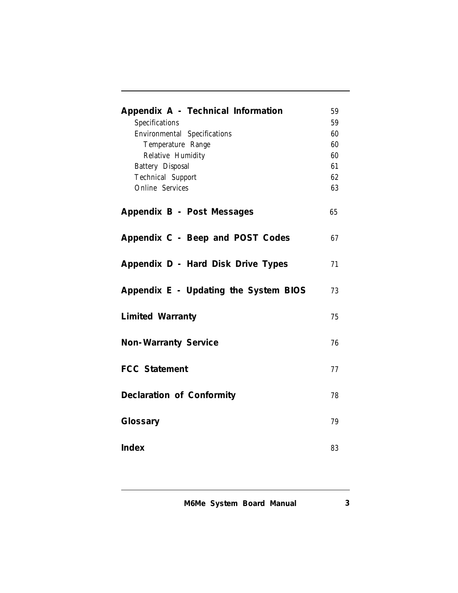| Appendix A - Technical Information<br><b>Specifications</b><br><b>Environmental Specifications</b><br>Temperature Range<br><b>Relative Humidity</b><br><b>Battery Disposal</b><br><b>Technical Support</b><br><b>Online Services</b> | 59<br>59<br>60<br>60<br>60<br>61<br>62<br>63 |
|--------------------------------------------------------------------------------------------------------------------------------------------------------------------------------------------------------------------------------------|----------------------------------------------|
| Appendix B - Post Messages                                                                                                                                                                                                           | 65                                           |
| Appendix C - Beep and POST Codes                                                                                                                                                                                                     | 67                                           |
| Appendix D - Hard Disk Drive Types                                                                                                                                                                                                   | 71                                           |
| Appendix E - Updating the System BIOS                                                                                                                                                                                                | 73                                           |
| <b>Limited Warranty</b>                                                                                                                                                                                                              | 75                                           |
| Non-Warranty Service                                                                                                                                                                                                                 | 76                                           |
| <b>FCC Statement</b>                                                                                                                                                                                                                 | 77                                           |
| Declaration of Conformity                                                                                                                                                                                                            | 78                                           |
| Glossary                                                                                                                                                                                                                             | 79                                           |
| Index                                                                                                                                                                                                                                | 83                                           |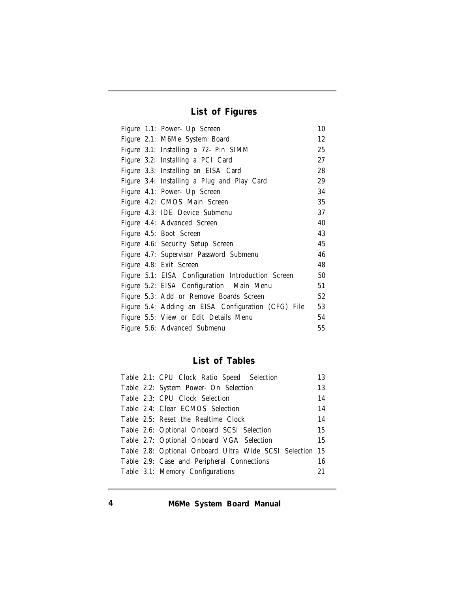*List of Figures*

| Figure 1.1: Power- Up Screen                        | 10 |  |  |
|-----------------------------------------------------|----|--|--|
| Figure 2.1: M6Me System Board                       |    |  |  |
| Figure 3.1: Installing a 72- Pin SIMM               | 25 |  |  |
| Figure 3.2: Installing a PCI Card                   | 27 |  |  |
| Figure 3.3: Installing an EISA Card                 | 28 |  |  |
| Figure 3.4: Installing a Plug and Play Card         | 29 |  |  |
| Figure 4.1: Power- Up Screen                        | 34 |  |  |
| Figure 4.2: CMOS Main Screen                        | 35 |  |  |
| Figure 4.3: IDE Device Submenu                      | 37 |  |  |
| Figure 4.4: Advanced Screen                         | 40 |  |  |
| Figure 4.5: Boot Screen                             | 43 |  |  |
| Figure 4.6: Security Setup Screen                   | 45 |  |  |
| Figure 4.7: Supervisor Password Submenu             | 46 |  |  |
| Figure 4.8: Exit Screen                             | 48 |  |  |
| Figure 5.1: EISA Configuration Introduction Screen  | 50 |  |  |
| Figure 5.2: EISA Configuration Main Menu            | 51 |  |  |
| Figure 5.3: Add or Remove Boards Screen             | 52 |  |  |
| Figure 5.4: Adding an EISA Configuration (CFG) File | 53 |  |  |
| Figure 5.5: View or Edit Details Menu               | 54 |  |  |
| Figure 5.6: Advanced Submenu                        | 55 |  |  |

# *List of Tables*

|  | Table 2.1: CPU Clock Ratio Speed Selection               | 13 |
|--|----------------------------------------------------------|----|
|  | Table 2.2: System Power- On Selection                    | 13 |
|  | Table 2.3: CPU Clock Selection                           | 14 |
|  | Table 2.4: Clear ECMOS Selection                         | 14 |
|  | Table 2.5: Reset the Realtime Clock                      | 14 |
|  | Table 2.6: Optional Onboard SCSI Selection               | 15 |
|  | Table 2.7: Optional Onboard VGA Selection                | 15 |
|  | Table 2.8: Optional Onboard Ultra Wide SCSI Selection 15 |    |
|  | Table 2.9: Case and Peripheral Connections               | 16 |
|  | Table 3.1: Memory Configurations                         | 21 |
|  |                                                          |    |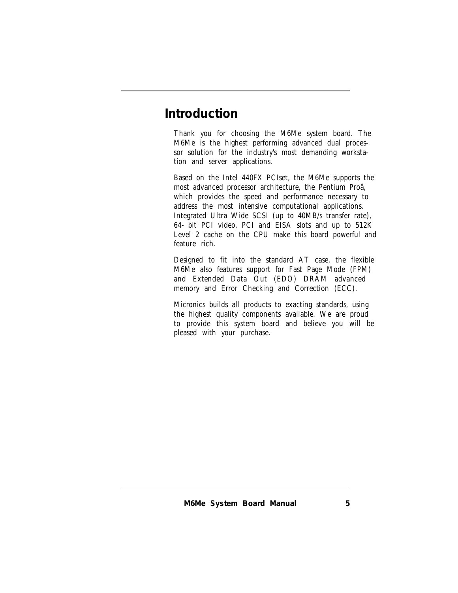# *Introduction*

Thank you for choosing the M6Me system board. The M6Me is the highest performing advanced dual processor solution for the industry's most demanding workstation and server applications.

Based on the Intel 440FX PCIset, the M6Me supports the most advanced processor architecture, the Pentium Proâ, which provides the speed and performance necessary to address the most intensive computational applications. Integrated Ultra Wide SCSI (up to 40MB/s transfer rate), 64-bit PCI video, PCI and EISA slots and up to 512K Level 2 cache on the CPU make this board powerful and feature rich.

Designed to fit into the standard AT case, the flexible M6Me also features support for Fast Page Mode (FPM) and Extended Data Out (EDO) DRAM advanced memory and Error Checking and Correction (ECC).

Micronics builds all products to exacting standards, using the highest quality components available. We are proud to provide this system board and believe you will be pleased with your purchase.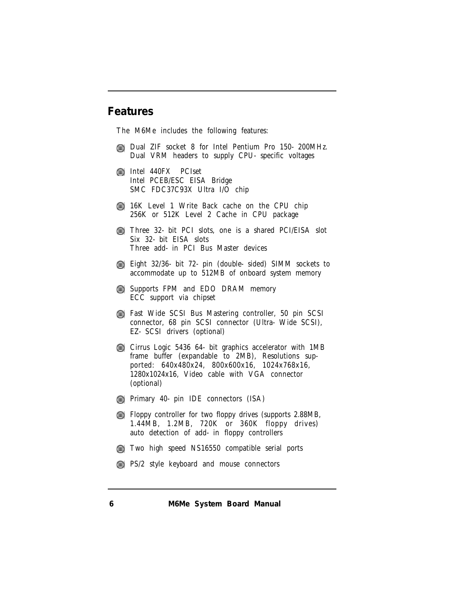#### **Features**

The M6Me includes the following features:

- Dual ZIF socket 8 for Intel Pentium Pro 150-200MHz. Dual VRM headers to supply CPU-specific voltages
- intel 440FX PCIset Intel PCEB/ESC EISA Bridge SMC FDC37C93X Ultra I/O chip
- 16K Level 1 Write Back cache on the CPU chip 256K or 512K Level 2 Cache in CPU package
- Three 32-bit PCI slots, one is a shared PCI/EISA slot Six 32-bit EISA slots Three add-in PCI Bus Master devices
- Eight 32/36-bit 72-pin (double-sided) SIMM sockets to accommodate up to 512MB of onboard system memory
- **Supports FPM and EDO DRAM memory** ECC support via chipset
- Fast Wide SCSI Bus Mastering controller, 50 pin SCSI connector, 68 pin SCSI connector (Ultra-Wide SCSI), EZ-SCSI drivers (optional)
- Cirrus Logic 5436 64-bit graphics accelerator with 1MB frame buffer (expandable to 2MB), Resolutions supported: 640x480x24, 800x600x16, 1024x768x16, 1280x1024x16, Video cable with VGA connector (optional)
- **Primary 40-pin IDE connectors (ISA)**
- Floppy controller for two floppy drives (supports 2.88MB, 1.44MB, 1.2MB, 720K or 360K floppy drives) auto detection of add-in floppy controllers
- Two high speed NS16550 compatible serial ports
- **PS/2 style keyboard and mouse connectors**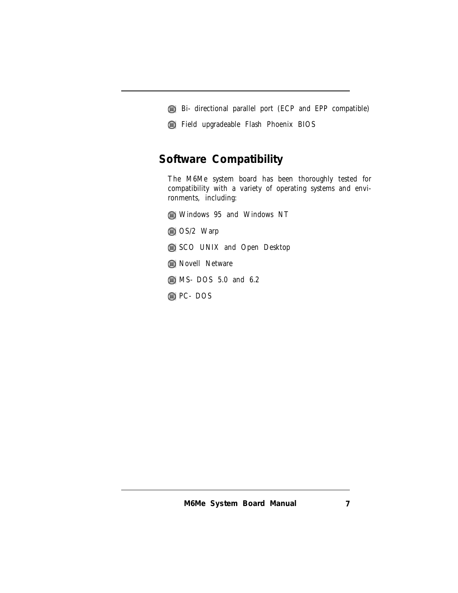- Bi-directional parallel port (ECP and EPP compatible)
- Field upgradeable Flash Phoenix BIOS

# **Software Compatibility**

The M6Me system board has been thoroughly tested for compatibility with a variety of operating systems and environments, including:

- Windows 95 and Windows NT
- OS/2 Warp
- SCO UNIX and Open Desktop
- **Sex Novell Netware**
- **MS-DOS 5.0 and 6.2**
- **PC-DOS**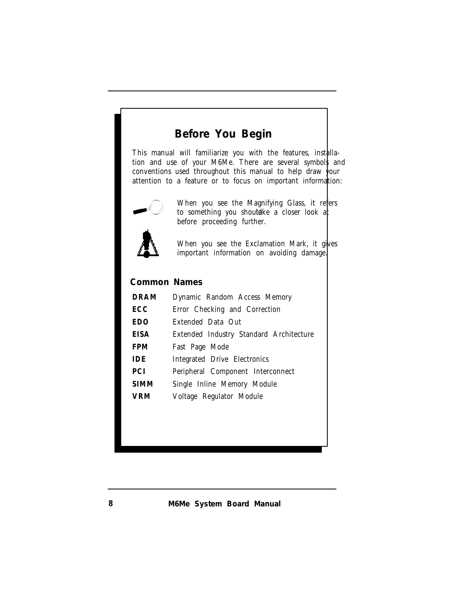# **Before You Begin**

This manual will familiarize you with the features, installation and use of your M6Me. There are several symbols and conventions used throughout this manual to help draw your attention to a feature or to focus on important information:



When you see the Magnifying Glass, it refers to something you shouldke a closer look at before proceeding further.

When you see the Exclamation Mark, it gives important information on avoiding damage.

### *Common Names*

| <b>DRAM</b> | Dynamic Random Access Memory                   |
|-------------|------------------------------------------------|
| <b>ECC</b>  | Error Checking and Correction                  |
| <b>EDO</b>  | <b>Extended Data Out</b>                       |
| <b>EISA</b> | <b>Extended Industry Standard Architecture</b> |
| <b>FPM</b>  | Fast Page Mode                                 |
| <b>IDE</b>  | <b>Integrated Drive Electronics</b>            |
| <b>PCI</b>  | Peripheral Component Interconnect              |
| <b>SIMM</b> | Single Inline Memory Module                    |
| VRM         | Voltage Regulator Module                       |
|             |                                                |

*8 M6Me System Board Manual*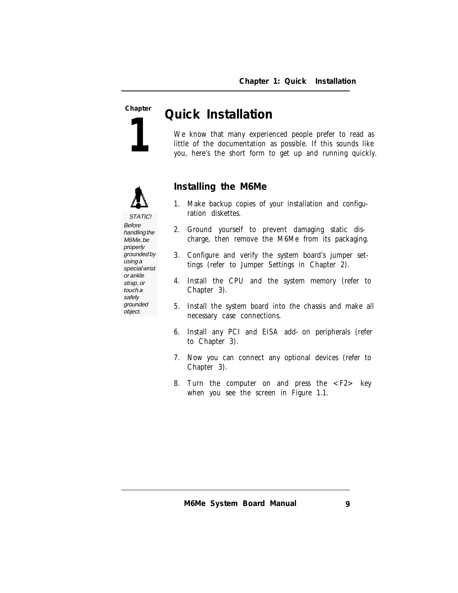**1**

# **Chapter** *Quick Installation*

We know that many experienced people prefer to read as little of the documentation as possible. If this sounds like you, here's the short form to get up and running quickly.



#### **Installing the M6Me**

- 1. Make backup copies of your installation and configuration diskettes.
- 2. Ground yourself to prevent damaging static discharge, then remove the M6Me from its packaging.
- 3. Configure and verify the system board's jumper settings (refer to Jumper Settings in Chapter 2).
- 4. Install the CPU and the system memory (refer to Chapter 3).
- 5. Install the system board into the chassis and make all necessary case connections.
- 6. Install any PCI and EISA add-on peripherals (refer to Chapter 3).
- 7. Now you can connect any optional devices (refer to Chapter 3).
- 8. Turn the computer on and press the <F2> key when you see the screen in Figure 1.1.

STATIC! Before handling the M6Me, be properly grounded by using a special wrist or ankle strap, or touch a safely grounded object.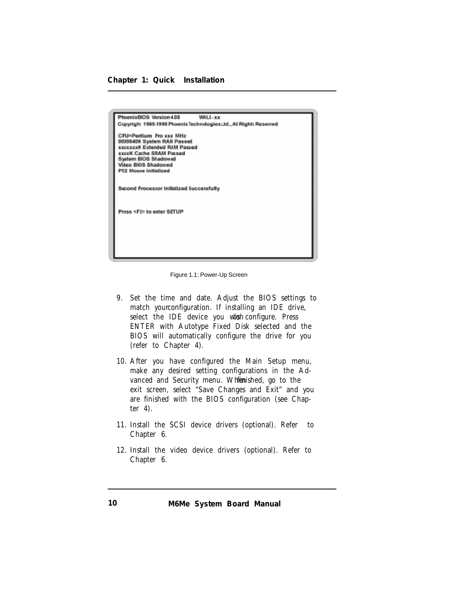*Chapter 1: Quick Installation*



Figure 1.1: Power-Up Screen

- 9. Set the time and date. Adjust the BIOS settings to match your configuration. If installing an IDE drive, select the IDE device you wish configure. Press ENTER with Autotype Fixed Disk selected and the BIOS will automatically configure the drive for you (refer to Chapter 4).
- 10. After you have configured the Main Setup menu, make any desired setting configurations in the Advanced and Security menu. When ished, go to the exit screen, select "Save Changes and Exit" and you are finished with the BIOS configuration (see Chapter 4).
- 11. Install the SCSI device drivers (optional). Refer to Chapter 6.
- 12. Install the video device drivers (optional). Refer to Chapter 6.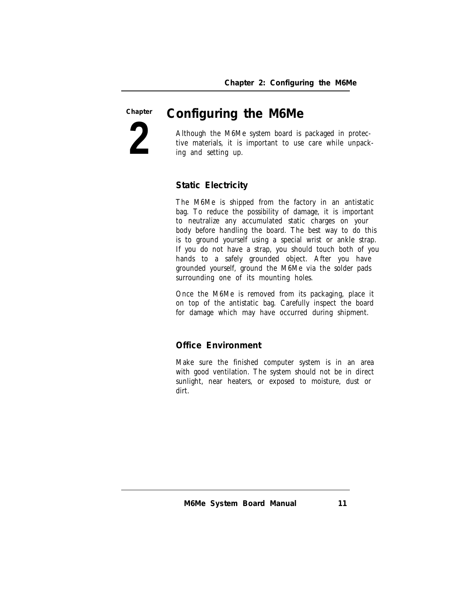**2 Chapter**

# *Configuring the M6Me*

Although the M6Me system board is packaged in protective materials, it is important to use care while unpacking and setting up.

**Static Electricity**

The M6Me is shipped from the factory in an antistatic bag. To reduce the possibility of damage, it is important to neutralize any accumulated static charges on your body before handling the board. The best way to do this is to ground yourself using a special wrist or ankle strap. If you do not have a strap, you should touch both of you hands to a safely grounded object. After you have grounded yourself, ground the M6Me via the solder pads surrounding one of its mounting holes.

Once the M6Me is removed from its packaging, place it on top of the antistatic bag. Carefully inspect the board for damage which may have occurred during shipment.

#### **Office Environment**

Make sure the finished computer system is in an area with good ventilation. The system should not be in direct sunlight, near heaters, or exposed to moisture, dust or dirt.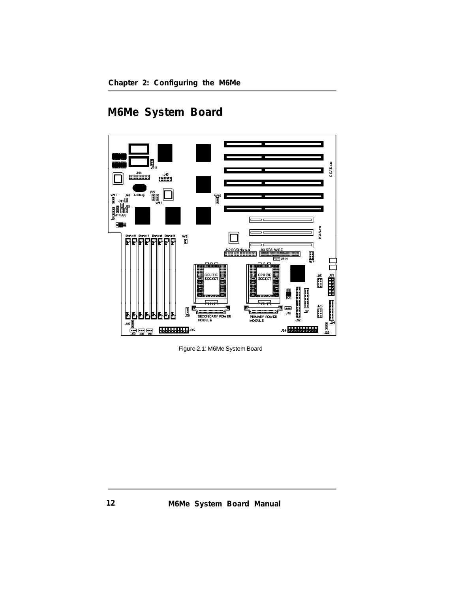#### *Chapter 2: Configuring the M6Me*

# **M6Me System Board**



Figure 2.1: M6Me System Board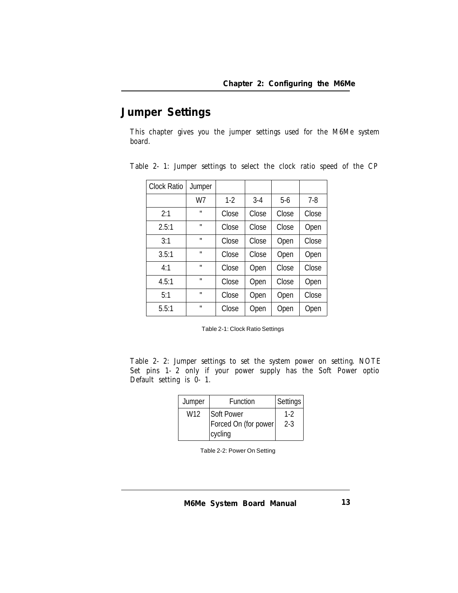# **Jumper Settings**

This chapter gives you the jumper settings used for the M6Me system board.

| <b>Clock Ratio</b> | Jumper       |       |       |       |         |
|--------------------|--------------|-------|-------|-------|---------|
|                    | W7           | $1-2$ | $3-4$ | $5-6$ | $7 - 8$ |
| 2:1                | $\mathbf{u}$ | Close | Close | Close | Close   |
| 2.5:1              | $\mathbf{u}$ | Close | Close | Close | Open    |
| 3:1                | $\mathbf{u}$ | Close | Close | Open  | Close   |
| 3.5:1              | $\mathbf{u}$ | Close | Close | Open  | Open    |
| 4:1                | $\mathbf{u}$ | Close | Open  | Close | Close   |
| 4.5:1              | $\mathbf{u}$ | Close | Open  | Close | Open    |
| 5:1                | $\mathbf{u}$ | Close | Open  | Open  | Close   |
| 5.5:1              | $\mathbf{u}$ | Close | Open  | Open  | Open    |

Table 2-1: Jumper settings to select the clock ratio speed of the CP

Table 2-1: Clock Ratio Settings

Table 2-2: Jumper settings to set the system power on setting. NOTE Set pins 1-2 only if your power supply has the Soft Power optio Default setting is 0-1.

| Jumper | Function                                             | Settings     |
|--------|------------------------------------------------------|--------------|
| W12    | <b>Soft Power</b><br>Forced On (for power<br>cycling | 1-2<br>$2-3$ |

Table 2-2: Power On Setting

*M6Me System Board Manual 13*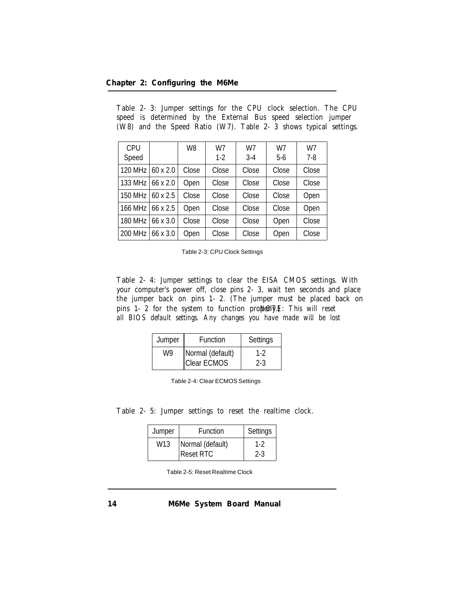| <b>CPU</b>     |                 | W <sub>8</sub> | W7    | W7    | W7    | W7      |
|----------------|-----------------|----------------|-------|-------|-------|---------|
| Speed          |                 |                | $1-2$ | $3-4$ | $5-6$ | $7 - 8$ |
| <b>120 MHz</b> | $60 \times 2.0$ | Close          | Close | Close | Close | Close   |
| 133 MHz        | 66 x 2.0        | Open           | Close | Close | Close | Close   |
| <b>150 MHz</b> | $60 \times 2.5$ | Close          | Close | Close | Close | Open    |
| <b>166 MHz</b> | 66 x 2.5        | Open           | Close | Close | Close | Open    |
| <b>180 MHz</b> | 66 x 3.0        | Close          | Close | Close | Open  | Close   |
| <b>200 MHz</b> | 66 x 3.0        | Open           | Close | Close | Open  | Close   |

Table 2-3: Jumper settings for the CPU clock selection. The CPU speed is determined by the External Bus speed selection jumper (W8) and the Speed Ratio (W7). Table 2-3 shows typical settings.

Table 2-4: Jumper settings to clear the EISA CMOS settings. With your computer's power off, close pins 2-3, wait ten seconds and place the jumper back on pins 1-2. (The jumper must be placed back on pins 1-2 for the system to function properly. This will reset *all BIOS default settings. Any changes you have made will be lost* .

| Jumper                 | <b>Function</b> | Settings |
|------------------------|-----------------|----------|
| Normal (default)<br>W9 |                 | $1-2$    |
|                        | Clear ECMOS     | $2 - 3$  |

| Table 2-4: Clear ECMOS Settings |  |  |
|---------------------------------|--|--|
|---------------------------------|--|--|

#### Table 2-5: Jumper settings to reset the realtime clock.

| Jumper | <b>Function</b>  | Settings |
|--------|------------------|----------|
| W13    | Normal (default) | $1-2$    |
|        | <b>Reset RTC</b> | $2 - 3$  |

Table 2-5: Reset Realtime Clock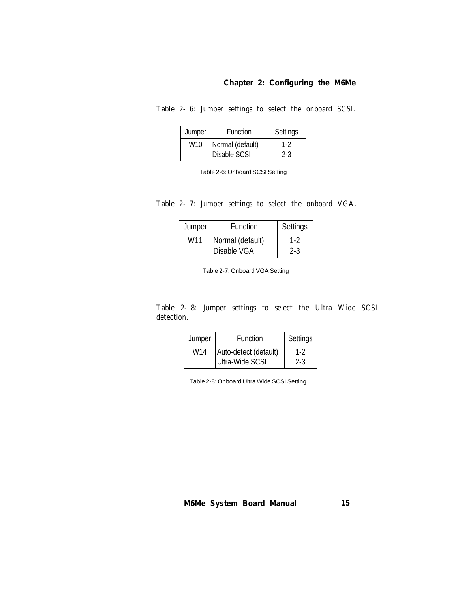| Table 2- 6: Jumper settings to select the onboard SCSI. |  |  |  |  |  |  |  |
|---------------------------------------------------------|--|--|--|--|--|--|--|
|---------------------------------------------------------|--|--|--|--|--|--|--|

| Jumper          | Function            | Settings |
|-----------------|---------------------|----------|
| W <sub>10</sub> | Normal (default)    | $1-2$    |
|                 | <b>Disable SCSI</b> | $2-3$    |

Table 2-6: Onboard SCSI Setting

#### Table 2-7: Jumper settings to select the onboard VGA.

| Jumper | <b>Function</b>    | Settings |
|--------|--------------------|----------|
| W11    | Normal (default)   | $1 - 2$  |
|        | <b>Disable VGA</b> | 2-3      |

Table 2-7: Onboard VGA Setting

#### Table 2-8: Jumper settings to select the Ultra Wide SCSI detection.

| Jumper          | <b>Function</b>       | Settings |
|-----------------|-----------------------|----------|
| W <sub>14</sub> | Auto-detect (default) | 1-2      |
|                 | Ultra-Wide SCSI       | $2 - 3$  |

Table 2-8: Onboard Ultra Wide SCSI Setting

*M6Me System Board Manual 15*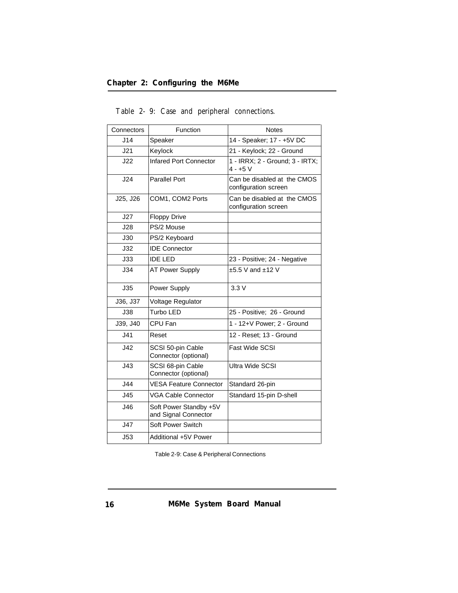| Connectors | Function                                       | <b>Notes</b>                                        |
|------------|------------------------------------------------|-----------------------------------------------------|
| J14        | Speaker                                        | 14 - Speaker; 17 - +5V DC                           |
| J21        | Keylock                                        | 21 - Keylock; 22 - Ground                           |
| J22        | Infared Port Connector                         | 1 - IRRX; 2 - Ground; 3 - IRTX;<br>$4 - +5$ V       |
| J24        | <b>Parallel Port</b>                           | Can be disabled at the CMOS<br>configuration screen |
| J25, J26   | COM1, COM2 Ports                               | Can be disabled at the CMOS<br>configuration screen |
| J27        | <b>Floppy Drive</b>                            |                                                     |
| J28        | PS/2 Mouse                                     |                                                     |
| J30        | PS/2 Keyboard                                  |                                                     |
| J32        | <b>IDE Connector</b>                           |                                                     |
| J33        | <b>IDE LED</b>                                 | 23 - Positive; 24 - Negative                        |
| J34        | <b>AT Power Supply</b>                         | $±5.5$ V and $±12$ V                                |
| J35        | Power Supply                                   | 3.3V                                                |
| J36, J37   | Voltage Regulator                              |                                                     |
| J38        | Turbo LED                                      | 25 - Positive; 26 - Ground                          |
| J39, J40   | CPU Fan                                        | 1 - 12+V Power; 2 - Ground                          |
| J41        | Reset                                          | 12 - Reset: 13 - Ground                             |
| J42        | SCSI 50-pin Cable<br>Connector (optional)      | Fast Wide SCSI                                      |
| J43        | SCSI 68-pin Cable<br>Connector (optional)      | Ultra Wide SCSI                                     |
| J44        | <b>VESA Feature Connector</b>                  | Standard 26-pin                                     |
| J45        | <b>VGA Cable Connector</b>                     | Standard 15-pin D-shell                             |
| J46        | Soft Power Standby +5V<br>and Signal Connector |                                                     |
| J47        | Soft Power Switch                              |                                                     |
| J53        | Additional +5V Power                           |                                                     |

Table 2-9: Case and peripheral connections.

Table 2-9: Case & Peripheral Connections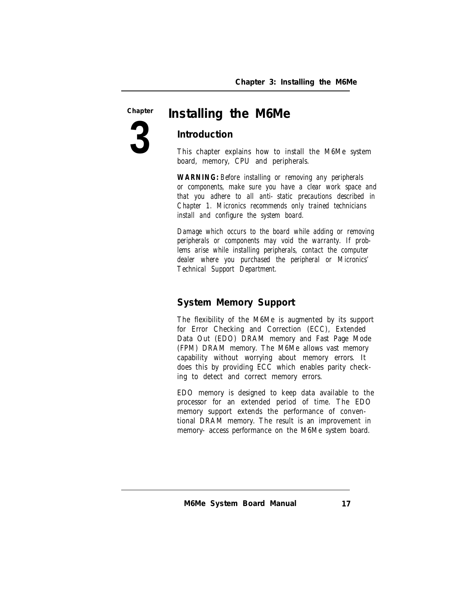**3**

# **Chapter** *Installing the M6Me*

#### **Introduction**

This chapter explains how to install the M6Me system board, memory, CPU and peripherals.

*WARNING: Before installing or removing any peripherals or components, make sure you have a clear work space and that you adhere to all anti-static precautions described in Chapter 1. Micronics recommends only trained technicians install and configure the system board.*

*Damage which occurs to the board while adding or removing peripherals or components may void the warranty. If problems arise while installing peripherals, contact the computer dealer where you purchased the peripheral or Micronics' Technical Support Department.*

#### **System Memory Support**

The flexibility of the M6Me is augmented by its support for Error Checking and Correction (ECC), Extended Data Out (EDO) DRAM memory and Fast Page Mode (FPM) DRAM memory. The M6Me allows vast memory capability without worrying about memory errors. It does this by providing ECC which enables parity checking to detect and correct memory errors.

EDO memory is designed to keep data available to the processor for an extended period of time. The EDO memory support extends the performance of conventional DRAM memory. The result is an improvement in memory-access performance on the M6Me system board.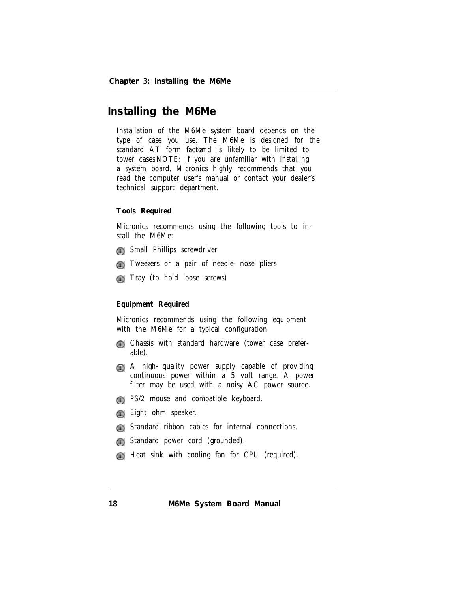# **Installing the M6Me**

Installation of the M6Me system board depends on the type of case you use. The M6Me is designed for the standard AT form factound is likely to be limited to tower cases. NOTE: If you are unfamiliar with installing a system board, Micronics highly recommends that you read the computer user's manual or contact your dealer's technical support department.

#### **Tools Required**

Micronics recommends using the following tools to install the M6Me:

- **Small Phillips screwdriver**
- **The Tweezers or a pair of needle-nose pliers**
- **Tray** (to hold loose screws)

#### **Equipment Required**

Micronics recommends using the following equipment with the M6Me for a typical configuration:

- Chassis with standard hardware (tower case preferable).
- A high-quality power supply capable of providing continuous power within a 5 volt range. A power filter may be used with a noisy AC power source.
- **PS/2 mouse and compatible keyboard.**
- **Eight** ohm speaker.
- **Example 15** Standard ribbon cables for internal connections.
- **Guarge Standard power cord (grounded).**
- **Heat sink with cooling fan for CPU** (required).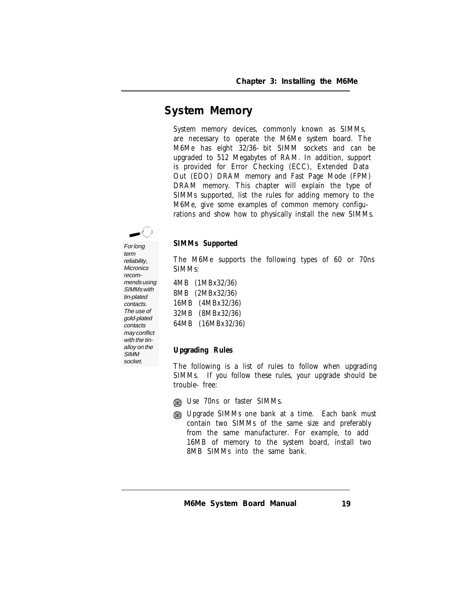### **System Memory**

System memory devices, commonly known as SIMMs, are necessary to operate the M6Me system board. The M6Me has eight 32/36-bit SIMM sockets and can be upgraded to 512 Megabytes of RAM. In addition, support is provided for Error Checking (ECC), Extended Data Out (EDO) DRAM memory and Fast Page Mode (FPM) DRAM memory. This chapter will explain the type of SIMMs supported, list the rules for adding memory to the M6Me, give some examples of common memory configurations and show how to physically install the new SIMMs.

#### **SIMMs Supported**

The M6Me supports the following types of 60 or 70ns SIMMs:

4MB (1MBx32/36) 8MB (2MBx32/36) 16MB (4MBx32/36) 32MB (8MBx32/36) 64MB (16MBx32/36)

#### **Upgrading Rules**

The following is a list of rules to follow when upgrading SIMMs. If you follow these rules, your upgrade should be trouble-free:

- Use 70ns or faster SIMMs.
- Upgrade SIMMs one bank at a time. Each bank must contain two SIMMs of the same size and preferably from the same manufacturer. For example, to add 16MB of memory to the system board, install two 8MB SIMMs into the same bank.

For long term reliability, **Micronics** recommends using SIMMs with tin-plated contacts. The use of gold-plated contacts may conflict with the tinalloy on the **SIMM** socket.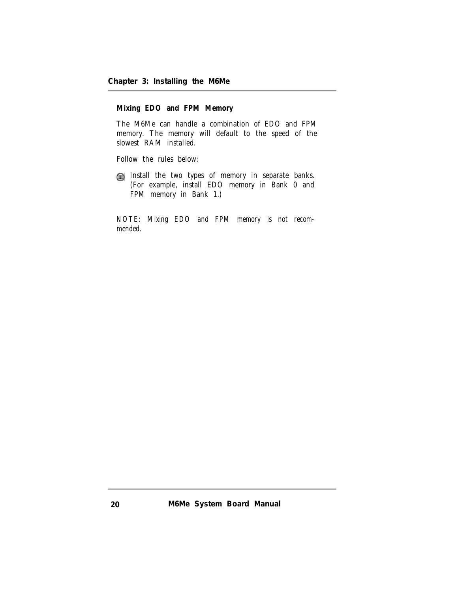**Mixing EDO and FPM Memory**

The M6Me can handle a combination of EDO and FPM memory. The memory will default to the speed of the slowest RAM installed.

Follow the rules below:

Install the two types of memory in separate banks. (For example, install EDO memory in Bank 0 and FPM memory in Bank 1.)

*NOTE: Mixing EDO and FPM memory is not recommended.*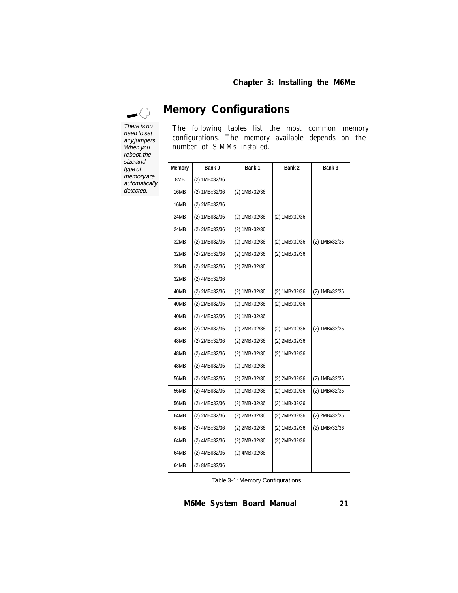−ù Ã There is no

need to set any jumpers. When you reboot, the size and type of memory are automatically detected.

**Memory Configurations**

The following tables list the most common memory configurations. The memory available depends on the number of SIMMs installed.

| <b>Memory</b> | Bank 0        | Bank 1        | Bank 2        | Bank 3        |
|---------------|---------------|---------------|---------------|---------------|
| 8MB           | (2) 1MBx32/36 |               |               |               |
| 16MB          | (2) 1MBx32/36 | (2) 1MBx32/36 |               |               |
| 16MB          | (2) 2MBx32/36 |               |               |               |
| 24MB          | (2) 1MBx32/36 | (2) 1MBx32/36 | (2) 1MBx32/36 |               |
| 24MB          | (2) 2MBx32/36 | (2) 1MBx32/36 |               |               |
| 32MB          | (2) 1MBx32/36 | (2) 1MBx32/36 | (2) 1MBx32/36 | (2) 1MBx32/36 |
| 32MB          | (2) 2MBx32/36 | (2) 1MBx32/36 | (2) 1MBx32/36 |               |
| 32MB          | (2) 2MBx32/36 | (2) 2MBx32/36 |               |               |
| 32MB          | (2) 4MBx32/36 |               |               |               |
| 40MB          | (2) 2MBx32/36 | (2) 1MBx32/36 | (2) 1MBx32/36 | (2) 1MBx32/36 |
| 40MB          | (2) 2MBx32/36 | (2) 1MBx32/36 | (2) 1MBx32/36 |               |
| 40MB          | (2) 4MBx32/36 | (2) 1MBx32/36 |               |               |
| 48MB          | (2) 2MBx32/36 | (2) 2MBx32/36 | (2) 1MBx32/36 | (2) 1MBx32/36 |
| 48MB          | (2) 2MBx32/36 | (2) 2MBx32/36 | (2) 2MBx32/36 |               |
| 48MB          | (2) 4MBx32/36 | (2) 1MBx32/36 | (2) 1MBx32/36 |               |
| 48MB          | (2) 4MBx32/36 | (2) 1MBx32/36 |               |               |
| 56MB          | (2) 2MBx32/36 | (2) 2MBx32/36 | (2) 2MBx32/36 | (2) 1MBx32/36 |
| 56MB          | (2) 4MBx32/36 | (2) 1MBx32/36 | (2) 1MBx32/36 | (2) 1MBx32/36 |
| 56MB          | (2) 4MBx32/36 | (2) 2MBx32/36 | (2) 1MBx32/36 |               |
| 64MB          | (2) 2MBx32/36 | (2) 2MBx32/36 | (2) 2MBx32/36 | (2) 2MBx32/36 |
| 64MB          | (2) 4MBx32/36 | (2) 2MBx32/36 | (2) 1MBx32/36 | (2) 1MBx32/36 |
| 64MB          | (2) 4MBx32/36 | (2) 2MBx32/36 | (2) 2MBx32/36 |               |
| 64MB          | (2) 4MBx32/36 | (2) 4MBx32/36 |               |               |
| 64MB          | (2) 8MBx32/36 |               |               |               |

Table 3-1: Memory Configurations

*M6Me System Board Manual*

*21*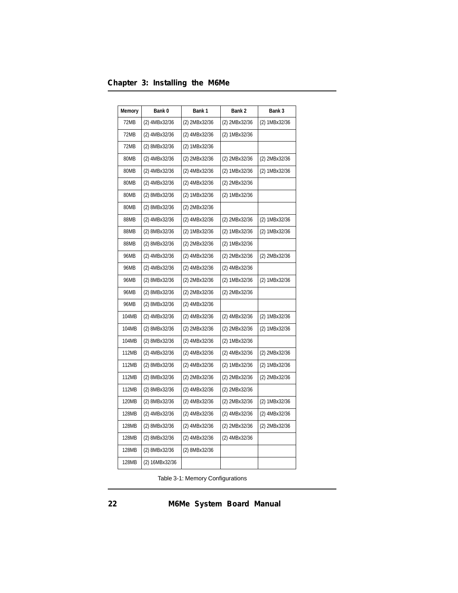|  |  | Chapter 3: Installing the M6Me |  |  |
|--|--|--------------------------------|--|--|
|--|--|--------------------------------|--|--|

| Memory       | Bank 0         | Bank 1        | Bank 2        | Bank 3        |
|--------------|----------------|---------------|---------------|---------------|
| 72MB         | (2) 4MBx32/36  | (2) 2MBx32/36 | (2) 2MBx32/36 | (2) 1MBx32/36 |
| 72MB         | (2) 4MBx32/36  | (2) 4MBx32/36 | (2) 1MBx32/36 |               |
| 72MB         | (2) 8MBx32/36  | (2) 1MBx32/36 |               |               |
| 80MB         | (2) 4MBx32/36  | (2) 2MBx32/36 | (2) 2MBx32/36 | (2) 2MBx32/36 |
| 80MB         | (2) 4MBx32/36  | (2) 4MBx32/36 | (2) 1MBx32/36 | (2) 1MBx32/36 |
| 80MB         | (2) 4MBx32/36  | (2) 4MBx32/36 | (2) 2MBx32/36 |               |
| 80MB         | (2) 8MBx32/36  | (2) 1MBx32/36 | (2) 1MBx32/36 |               |
| 80MB         | (2) 8MBx32/36  | (2) 2MBx32/36 |               |               |
| 88MB         | (2) 4MBx32/36  | (2) 4MBx32/36 | (2) 2MBx32/36 | (2) 1MBx32/36 |
| 88MB         | (2) 8MBx32/36  | (2) 1MBx32/36 | (2) 1MBx32/36 | (2) 1MBx32/36 |
| 88MB         | (2) 8MBx32/36  | (2) 2MBx32/36 | (2) 1MBx32/36 |               |
| 96MB         | (2) 4MBx32/36  | (2) 4MBx32/36 | (2) 2MBx32/36 | (2) 2MBx32/36 |
| 96MB         | (2) 4MBx32/36  | (2) 4MBx32/36 | (2) 4MBx32/36 |               |
| 96MB         | (2) 8MBx32/36  | (2) 2MBx32/36 | (2) 1MBx32/36 | (2) 1MBx32/36 |
| <b>96MB</b>  | (2) 8MBx32/36  | (2) 2MBx32/36 | (2) 2MBx32/36 |               |
| 96MB         | (2) 8MBx32/36  | (2) 4MBx32/36 |               |               |
| 104MB        | (2) 4MBx32/36  | (2) 4MBx32/36 | (2) 4MBx32/36 | (2) 1MBx32/36 |
| 104MB        | (2) 8MBx32/36  | (2) 2MBx32/36 | (2) 2MBx32/36 | (2) 1MBx32/36 |
| 104MB        | (2) 8MBx32/36  | (2) 4MBx32/36 | (2) 1MBx32/36 |               |
| 112MB        | (2) 4MBx32/36  | (2) 4MBx32/36 | (2) 4MBx32/36 | (2) 2MBx32/36 |
| 112MB        | (2) 8MBx32/36  | (2) 4MBx32/36 | (2) 1MBx32/36 | (2) 1MBx32/36 |
| 112MB        | (2) 8MBx32/36  | (2) 2MBx32/36 | (2) 2MBx32/36 | (2) 2MBx32/36 |
| 112MB        | (2) 8MBx32/36  | (2) 4MBx32/36 | (2) 2MBx32/36 |               |
| 120MB        | (2) 8MBx32/36  | (2) 4MBx32/36 | (2) 2MBx32/36 | (2) 1MBx32/36 |
| 128MB        | (2) 4MBx32/36  | (2) 4MBx32/36 | (2) 4MBx32/36 | (2) 4MBx32/36 |
| 128MB        | (2) 8MBx32/36  | (2) 4MBx32/36 | (2) 2MBx32/36 | (2) 2MBx32/36 |
| <b>128MB</b> | (2) 8MBx32/36  | (2) 4MBx32/36 | (2) 4MBx32/36 |               |
| 128MB        | (2) 8MBx32/36  | (2) 8MBx32/36 |               |               |
| 128MB        | (2) 16MBx32/36 |               |               |               |

Table 3-1: Memory Configurations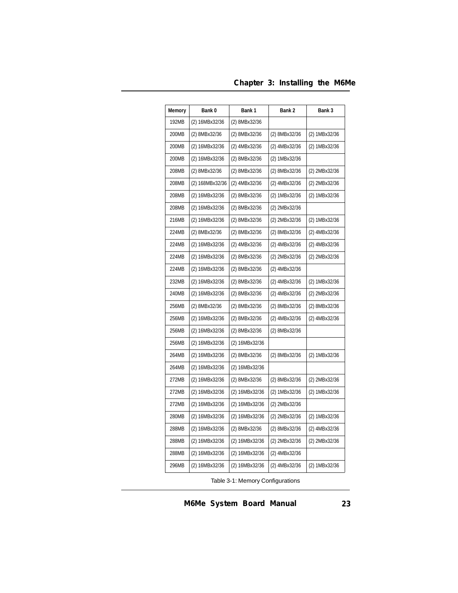|  |  | Chapter 3: Installing the M6Me |  |  |
|--|--|--------------------------------|--|--|
|--|--|--------------------------------|--|--|

| Memory | Bank 0          | Bank 1         | Bank 2        | Bank 3        |
|--------|-----------------|----------------|---------------|---------------|
| 192MB  | (2) 16MBx32/36  | (2) 8MBx32/36  |               |               |
| 200MB  | (2) 8MBx32/36   | (2) 8MBx32/36  | (2) 8MBx32/36 | (2) 1MBx32/36 |
| 200MB  | (2) 16MBx32/36  | (2) 4MBx32/36  | (2) 4MBx32/36 | (2) 1MBx32/36 |
| 200MB  | (2) 16MBx32/36  | (2) 8MBx32/36  | (2) 1MBx32/36 |               |
| 208MB  | (2) 8MBx32/36   | (2) 8MBx32/36  | (2) 8MBx32/36 | (2) 2MBx32/36 |
| 208MB  | (2) 168MBx32/36 | (2) 4MBx32/36  | (2) 4MBx32/36 | (2) 2MBx32/36 |
| 208MB  | (2) 16MBx32/36  | (2) 8MBx32/36  | (2) 1MBx32/36 | (2) 1MBx32/36 |
| 208MB  | (2) 16MBx32/36  | (2) 8MBx32/36  | (2) 2MBx32/36 |               |
| 216MB  | (2) 16MBx32/36  | (2) 8MBx32/36  | (2) 2MBx32/36 | (2) 1MBx32/36 |
| 224MB  | (2) 8MBx32/36   | (2) 8MBx32/36  | (2) 8MBx32/36 | (2) 4MBx32/36 |
| 224MB  | (2) 16MBx32/36  | (2) 4MBx32/36  | (2) 4MBx32/36 | (2) 4MBx32/36 |
| 224MB  | (2) 16MBx32/36  | (2) 8MBx32/36  | (2) 2MBx32/36 | (2) 2MBx32/36 |
| 224MB  | (2) 16MBx32/36  | (2) 8MBx32/36  | (2) 4MBx32/36 |               |
| 232MB  | (2) 16MBx32/36  | (2) 8MBx32/36  | (2) 4MBx32/36 | (2) 1MBx32/36 |
| 240MB  | (2) 16MBx32/36  | (2) 8MBx32/36  | (2) 4MBx32/36 | (2) 2MBx32/36 |
| 256MB  | (2) 8MBx32/36   | (2) 8MBx32/36  | (2) 8MBx32/36 | (2) 8MBx32/36 |
| 256MB  | (2) 16MBx32/36  | (2) 8MBx32/36  | (2) 4MBx32/36 | (2) 4MBx32/36 |
| 256MB  | (2) 16MBx32/36  | (2) 8MBx32/36  | (2) 8MBx32/36 |               |
| 256MB  | (2) 16MBx32/36  | (2) 16MBx32/36 |               |               |
| 264MB  | (2) 16MBx32/36  | (2) 8MBx32/36  | (2) 8MBx32/36 | (2) 1MBx32/36 |
| 264MB  | (2) 16MBx32/36  | (2) 16MBx32/36 |               |               |
| 272MB  | (2) 16MBx32/36  | (2) 8MBx32/36  | (2) 8MBx32/36 | (2) 2MBx32/36 |
| 272MB  | (2) 16MBx32/36  | (2) 16MBx32/36 | (2) 1MBx32/36 | (2) 1MBx32/36 |
| 272MB  | (2) 16MBx32/36  | (2) 16MBx32/36 | (2) 2MBx32/36 |               |
| 280MB  | (2) 16MBx32/36  | (2) 16MBx32/36 | (2) 2MBx32/36 | (2) 1MBx32/36 |
| 288MB  | (2) 16MBx32/36  | (2) 8MBx32/36  | (2) 8MBx32/36 | (2) 4MBx32/36 |
| 288MB  | (2) 16MBx32/36  | (2) 16MBx32/36 | (2) 2MBx32/36 | (2) 2MBx32/36 |
| 288MB  | (2) 16MBx32/36  | (2) 16MBx32/36 | (2) 4MBx32/36 |               |
| 296MB  | (2) 16MBx32/36  | (2) 16MBx32/36 | (2) 4MBx32/36 | (2) 1MBx32/36 |

Table 3-1: Memory Configurations

*M6Me System Board Manual*

*23*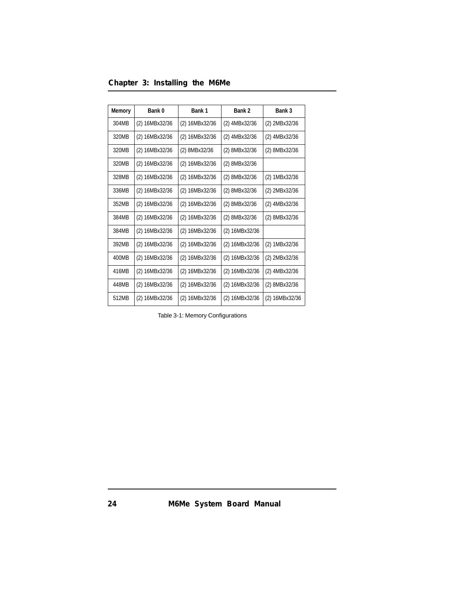|  |  | Chapter 3: Installing the M6Me |  |  |
|--|--|--------------------------------|--|--|
|--|--|--------------------------------|--|--|

| <b>Memory</b> | Bank 0         | Bank 1         | Bank 2         | Bank 3         |
|---------------|----------------|----------------|----------------|----------------|
| 304MB         | (2) 16MBx32/36 | (2) 16MBx32/36 | (2) 4MBx32/36  | (2) 2MBx32/36  |
| 320MB         | (2) 16MBx32/36 | (2) 16MBx32/36 | (2) 4MBx32/36  | (2) 4MBx32/36  |
| 320MB         | (2) 16MBx32/36 | (2) 8MBx32/36  | (2) 8MBx32/36  | (2) 8MBx32/36  |
| 320MB         | (2) 16MBx32/36 | (2) 16MBx32/36 | (2) 8MBx32/36  |                |
| 328MB         | (2) 16MBx32/36 | (2) 16MBx32/36 | (2) 8MBx32/36  | (2) 1MBx32/36  |
| 336MB         | (2) 16MBx32/36 | (2) 16MBx32/36 | (2) 8MBx32/36  | (2) 2MBx32/36  |
| 352MB         | (2) 16MBx32/36 | (2) 16MBx32/36 | (2) 8MBx32/36  | (2) 4MBx32/36  |
| 384MB         | (2) 16MBx32/36 | (2) 16MBx32/36 | (2) 8MBx32/36  | (2) 8MBx32/36  |
| 384MB         | (2) 16MBx32/36 | (2) 16MBx32/36 | (2) 16MBx32/36 |                |
| 392MB         | (2) 16MBx32/36 | (2) 16MBx32/36 | (2) 16MBx32/36 | (2) 1MBx32/36  |
| 400MB         | (2) 16MBx32/36 | (2) 16MBx32/36 | (2) 16MBx32/36 | (2) 2MBx32/36  |
| 416MB         | (2) 16MBx32/36 | (2) 16MBx32/36 | (2) 16MBx32/36 | (2) 4MBx32/36  |
| 448MB         | (2) 16MBx32/36 | (2) 16MBx32/36 | (2) 16MBx32/36 | (2) 8MBx32/36  |
| 512MB         | (2) 16MBx32/36 | (2) 16MBx32/36 | (2) 16MBx32/36 | (2) 16MBx32/36 |

Table 3-1: Memory Configurations

*M6Me System Board Manual*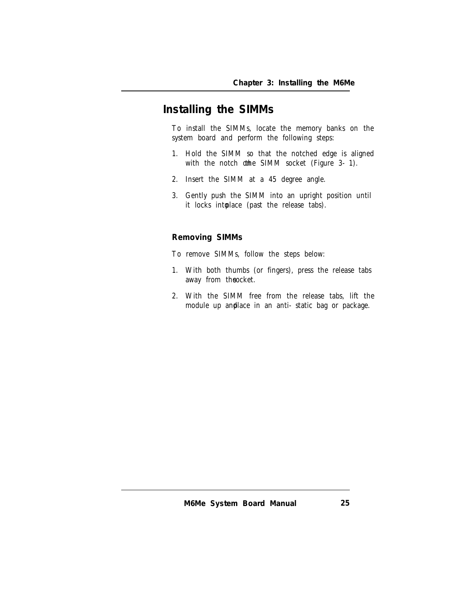### **Installing the SIMMs**

To install the SIMMs, locate the memory banks on the system board and perform the following steps:

- 1. Hold the SIMM so that the notched edge is aligned with the notch othe SIMM socket (Figure  $3-1$ ).
- 2. Insert the SIMM at a 45 degree angle.
- 3. Gently push the SIMM into an upright position until it locks into lace (past the release tabs).

#### **Removing SIMMs**

To remove SIMMs, follow the steps below:

- 1. With both thumbs (or fingers), press the release tabs away from theocket.
- 2. With the SIMM free from the release tabs, lift the module up and lace in an anti-static bag or package.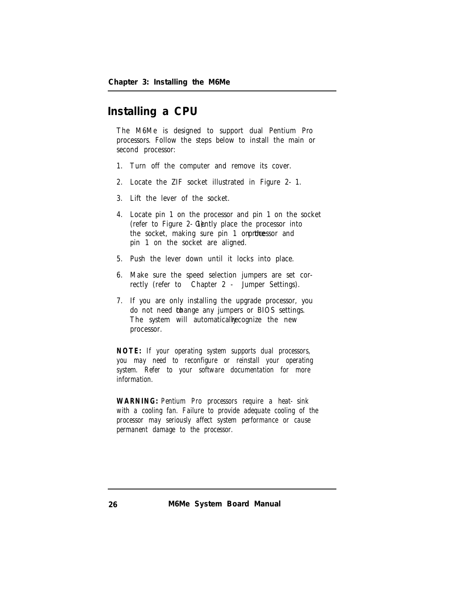### **Installing a CPU**

The M6Me is designed to support dual Pentium Pro processors. Follow the steps below to install the main or second processor:

- 1. Turn off the computer and remove its cover.
- 2. Locate the ZIF socket illustrated in Figure 2-1.
- 3. Lift the lever of the socket.
- 4. Locate pin 1 on the processor and pin 1 on the socket (refer to Figure  $2-$  C) and  $y$  place the processor into the socket, making sure pin 1 orprtheessor and pin 1 on the socket are aligned.
- 5. Push the lever down until it locks into place.
- 6. Make sure the speed selection jumpers are set correctly (refer to Chapter 2 - Jumper Settings).
- 7. If you are only installing the upgrade processor, you do not need thange any jumpers or BIOS settings. The system will automatically ecognize the new processor.

*NOTE: If your operating system supports dual processors, you may need to reconfigure or reinstall your operating system. Refer to your software documentation for more information.*

*WARNING: Pentium Pro processors require a heat-sink with a cooling fan. Failure to provide adequate cooling of the processor may seriously affect system performance or cause permanent damage to the processor.*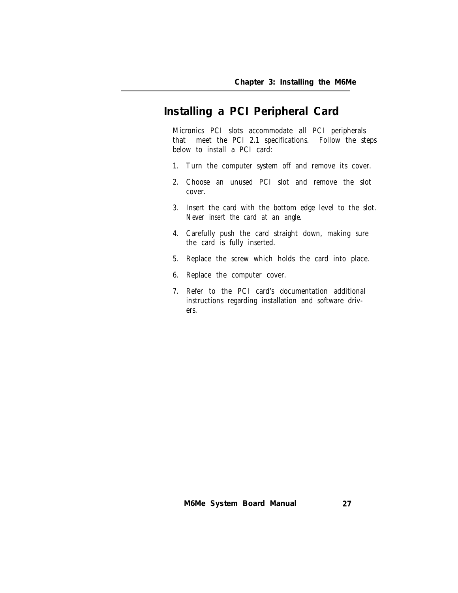# **Installing a PCI Peripheral Card**

Micronics PCI slots accommodate all PCI peripherals<br>that meet the PCI 2.1 specifications. Follow the st meet the PCI 2.1 specifications. Follow the steps below to install a PCI card:

- 1. Turn the computer system off and remove its cover.
- 2. Choose an unused PCI slot and remove the slot cover.
- 3. Insert the card with the bottom edge level to the slot. *Never insert the card at an angle.*
- 4. Carefully push the card straight down, making sure the card is fully inserted.
- 5. Replace the screw which holds the card into place.
- 6. Replace the computer cover.
- 7. Refer to the PCI card's documentation additional instructions regarding installation and software drivers.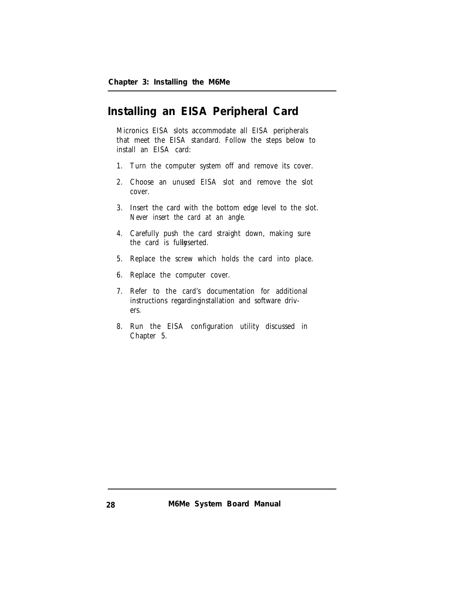### **Installing an EISA Peripheral Card**

Micronics EISA slots accommodate all EISA peripherals that meet the EISA standard. Follow the steps below to install an EISA card:

- 1. Turn the computer system off and remove its cover.
- 2. Choose an unused EISA slot and remove the slot cover.
- 3. Insert the card with the bottom edge level to the slot. *Never insert the card at an angle.*
- 4. Carefully push the card straight down, making sure the card is fully serted.
- 5. Replace the screw which holds the card into place.
- 6. Replace the computer cover.
- 7. Refer to the card's documentation for additional instructions regarding installation and software drivers.
- 8. Run the EISA configuration utility discussed in Chapter 5.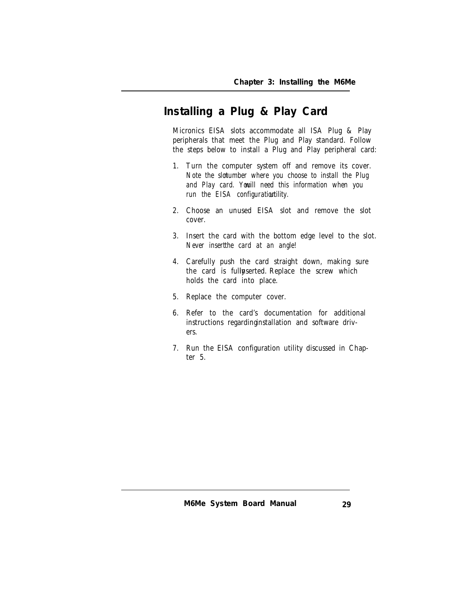# **Installing a Plug & Play Card**

Micronics EISA slots accommodate all ISA Plug & Play peripherals that meet the Plug and Play standard. Follow the steps below to install a Plug and Play peripheral card:

- 1. Turn the computer system off and remove its cover. *Note the slot number where you choose to install the Plug* and Play card. Youill need this information when you run the EISA configuration tility.
- 2. Choose an unused EISA slot and remove the slot cover.
- 3. Insert the card with the bottom edge level to the slot. Never insertthe card at an angle!
- 4. Carefully push the card straight down, making sure the card is fully serted. Replace the screw which holds the card into place.
- 5. Replace the computer cover.
- 6. Refer to the card's documentation for additional instructions regarding installation and software drivers.
- 7. Run the EISA configuration utility discussed in Chapter 5.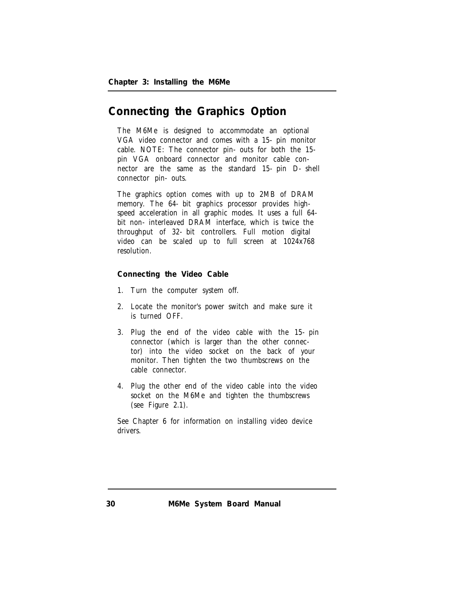### **Connecting the Graphics Option**

The M6Me is designed to accommodate an optional VGA video connector and comes with a 15-pin monitor cable. NOTE: The connector pin-outs for both the 15 pin VGA onboard connector and monitor cable connector are the same as the standard 15-pin D-shell connector pin-outs.

The graphics option comes with up to 2MB of DRAM memory. The 64-bit graphics processor provides highspeed acceleration in all graphic modes. It uses a full 64 bit non-interleaved DRAM interface, which is twice the throughput of 32-bit controllers. Full motion digital video can be scaled up to full screen at 1024x768 resolution.

#### **Connecting the Video Cable**

- 1. Turn the computer system off.
- 2. Locate the monitor's power switch and make sure it is turned OFF.
- 3. Plug the end of the video cable with the 15-pin connector (which is larger than the other connector) into the video socket on the back of your monitor. Then tighten the two thumbscrews on the cable connector.
- 4. Plug the other end of the video cable into the video socket on the M6Me and tighten the thumbscrews (see Figure 2.1).

See Chapter 6 for information on installing video device drivers.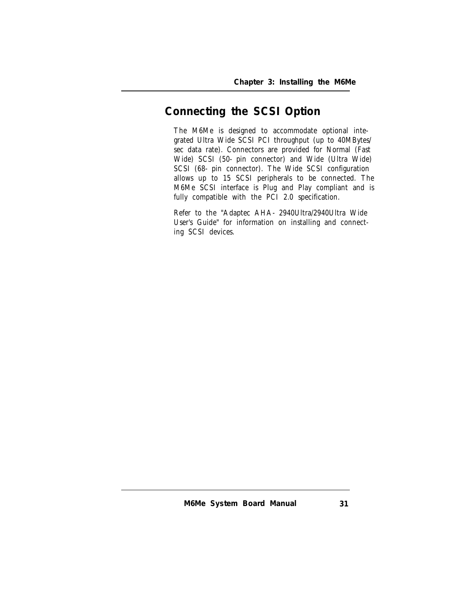# **Connecting the SCSI Option**

The M6Me is designed to accommodate optional integrated Ultra Wide SCSI PCI throughput (up to 40MBytes/ sec data rate). Connectors are provided for Normal (Fast Wide) SCSI (50-pin connector) and Wide (Ultra Wide) SCSI (68- pin connector). The Wide SCSI configuration allows up to 15 SCSI peripherals to be connected. The M6Me SCSI interface is Plug and Play compliant and is fully compatible with the PCI 2.0 specification.

Refer to the "Adaptec AHA-2940Ultra/2940Ultra Wide User's Guide" for information on installing and connecting SCSI devices.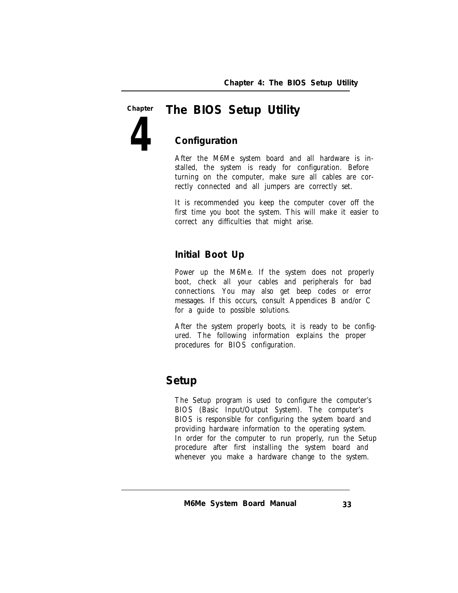#### *The BIOS Setup Utility* **Chapter**

**Configuration**

**4**

After the M6Me system board and all hardware is installed, the system is ready for configuration. Before turning on the computer, make sure all cables are correctly connected and all jumpers are correctly set.

It is recommended you keep the computer cover off the first time you boot the system. This will make it easier to correct any difficulties that might arise.

#### **Initial Boot Up**

Power up the M6Me. If the system does not properly boot, check all your cables and peripherals for bad connections. You may also get beep codes or error messages. If this occurs, consult Appendices B and/or C for a guide to possible solutions.

After the system properly boots, it is ready to be configured. The following information explains the proper procedures for BIOS configuration.

### **Setup**

The Setup program is used to configure the computer's BIOS (Basic Input/Output System). The computer's BIOS is responsible for configuring the system board and providing hardware information to the operating system. In order for the computer to run properly, run the Setup procedure after first installing the system board and whenever you make a hardware change to the system.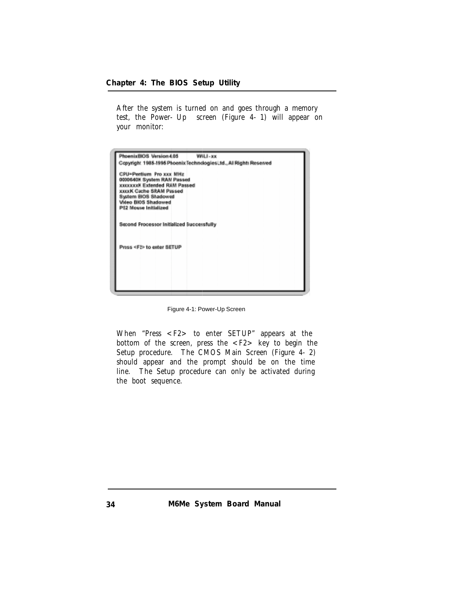After the system is turned on and goes through a memory test, the Power-Up screen (Figure 4-1) will appear on your monitor:



Figure 4-1: Power-Up Screen

When "Press <F2> to enter SETUP" appears at the bottom of the screen, press the  $\langle F2 \rangle$  key to begin the Setup procedure. The CMOS Main Screen (Figure 4-2) should appear and the prompt should be on the time line. The Setup procedure can only be activated during the boot sequence.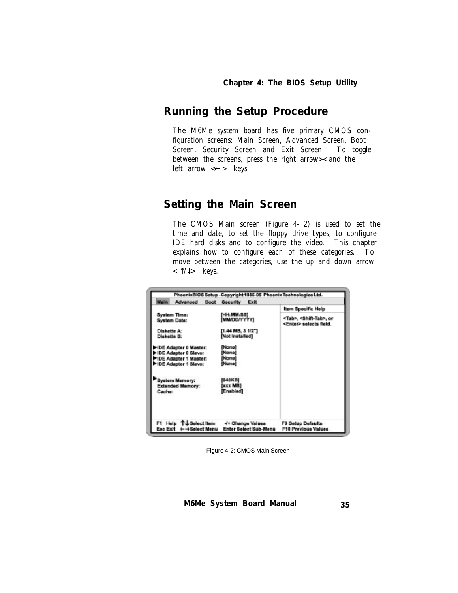# **Running the Setup Procedure**

The M6Me system board has five primary CMOS configuration screens: Main Screen, Advanced Screen, Boot Screen, Security Screen and Exit Screen. To toggle between the screens, press the right arrow  $\times$  and the left arrow  $\ll$  keys.

# **Setting the Main Screen**

The CMOS Main screen (Figure 4-2) is used to set the time and date, to set the floppy drive types, to configure IDE hard disks and to configure the video. This chapter explains how to configure each of these categories. To move between the categories, use the up and down arrow  $< \hat{I}/\hat{I}$  keys.

| Main<br>Advanced<br><b>Boot</b>           | Exit<br><b>Security</b> |                                                                          |
|-------------------------------------------|-------------------------|--------------------------------------------------------------------------|
| System Time:                              | IHH: MM: SSI            | Item Specific Help                                                       |
| <b>System Date:</b>                       | <b>IMMODAYYYYI</b>      | <tab>, &lt;8hift<tab>, or<br/><enter> selects field.</enter></tab></tab> |
| Diskette A:                               | <b>M.44 MB. 3 1/2"T</b> |                                                                          |
| <b>Diskotto B:</b>                        | <b>Diot Installed)</b>  |                                                                          |
| IF-IDE Adapter 0 Master:                  | <b>INone</b>            |                                                                          |
| IF-IDE Adapter 0 Slave:                   | <b>INone</b>            |                                                                          |
| 1 IDE Adapter 1 Master:                   | iNone)                  |                                                                          |
| 1 IDE Adapter 1 Slaver                    | <b>INone</b>            |                                                                          |
| <b>Bystem Memory:</b>                     | <b>BI-40KB)</b>         |                                                                          |
| Extended Mamory:                          | Exxx MBI                |                                                                          |
| <b>Cached</b>                             | <b>IEnabled</b>         |                                                                          |
| F1 Help TJ Select Item - J+ Change Values |                         | F9 Setup Defaults                                                        |

Figure 4-2: CMOS Main Screen

*M6Me System Board Manual*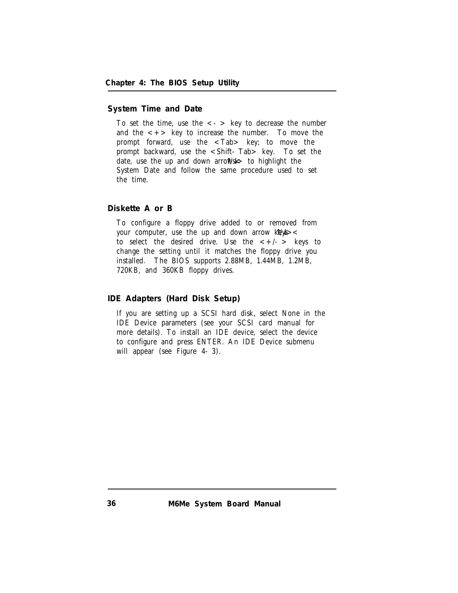#### **System Time and Date**

To set the time, use the  $\langle - \rangle$  key to decrease the number and the  $\langle + \rangle$  key to increase the number. To move the prompt forward, use the <Tab> key; to move the prompt backward, use the <Shift-Tab> key. To set the date, use the up and down arrows  $\sim$  to highlight the System Date and follow the same procedure used to set the time.

#### **Diskette A or B**

To configure a floppy drive added to or removed from your computer, use the up and down arrow  $\log x$ to select the desired drive. Use the  $\langle +/-\rangle$  keys to change the setting until it matches the floppy drive you installed. The BIOS supports 2.88MB, 1.44MB, 1.2MB, 720KB, and 360KB floppy drives.

**IDE Adapters (Hard Disk Setup)**

If you are setting up a SCSI hard disk, select None in the IDE Device parameters (see your SCSI card manual for more details). To install an IDE device, select the device to configure and press ENTER. An IDE Device submenu will appear (see Figure 4-3).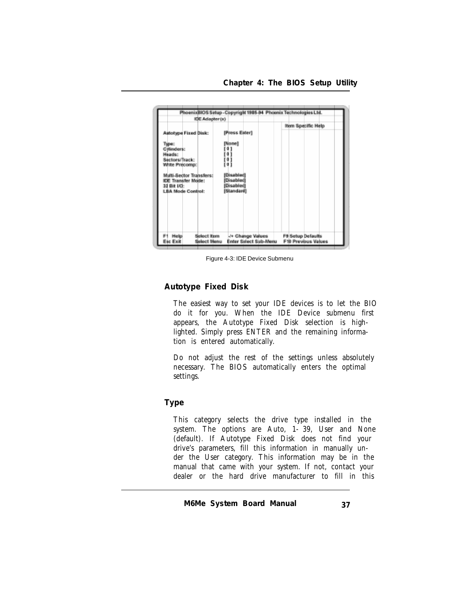|                                                                                                                  |                                                      | Item Specific Help                       |
|------------------------------------------------------------------------------------------------------------------|------------------------------------------------------|------------------------------------------|
| <b>Autotype Fixed Disk:</b><br>Турес<br><b>Cylinders:</b><br>Heads:<br>Sectors/Track:                            | [Press Enter]<br>[None]                              |                                          |
| Write Precomp:<br>Multi-Sector Transfers:<br><b>IDE Transfer Mode:</b><br>32 Bit VO:<br><b>LBA Mode Control:</b> | [Disabled]<br>[Disabled]<br>[Disabled]<br>[Standard] |                                          |
| <b>Select Item</b><br>Help<br>Esc Exit<br><b>Select Menu</b>                                                     | -/+ Change Values<br>Enter Select Sub-Menu           | F# Setup Defaults<br>F10 Previous Values |

Figure 4-3: IDE Device Submenu

**Autotype Fixed Disk**

The easiest way to set your IDE devices is to let the BIO do it for you. When the IDE Device submenu first appears, the Autotype Fixed Disk selection is highlighted. Simply press ENTER and the remaining information is entered automatically.

Do not adjust the rest of the settings unless absolutely necessary. The BIOS automatically enters the optimal settings.

#### **Type**

This category selects the drive type installed in the system. The options are Auto, 1-39, User and None (default). If Autotype Fixed Disk does not find your drive's parameters, fill this information in manually under the User category. This information may be in the manual that came with your system. If not, contact your dealer or the hard drive manufacturer to fill in this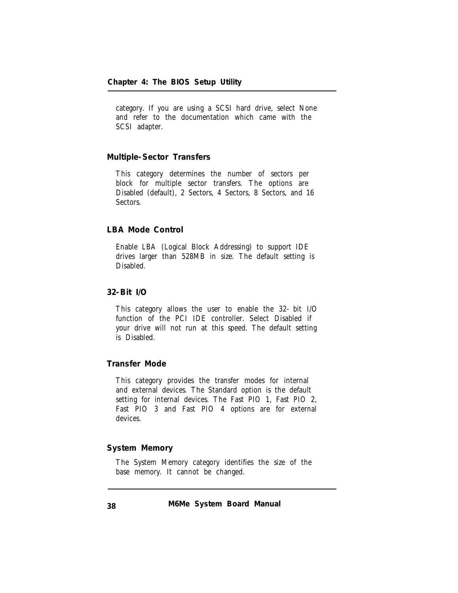category. If you are using a SCSI hard drive, select None and refer to the documentation which came with the SCSI adapter.

## **Multiple-Sector Transfers**

This category determines the number of sectors per block for multiple sector transfers. The options are Disabled (default), 2 Sectors, 4 Sectors, 8 Sectors, and 16 Sectors.

# **LBA Mode Control**

Enable LBA (Logical Block Addressing) to support IDE drives larger than 528MB in size. The default setting is Disabled.

**32-Bit I/O**

This category allows the user to enable the 32-bit I/O function of the PCI IDE controller. Select Disabled if your drive will not run at this speed. The default setting is Disabled.

#### **Transfer Mode**

This category provides the transfer modes for internal and external devices. The Standard option is the default setting for internal devices. The Fast PIO 1, Fast PIO 2, Fast PIO 3 and Fast PIO 4 options are for external devices.

## **System Memory**

The System Memory category identifies the size of the base memory. It cannot be changed.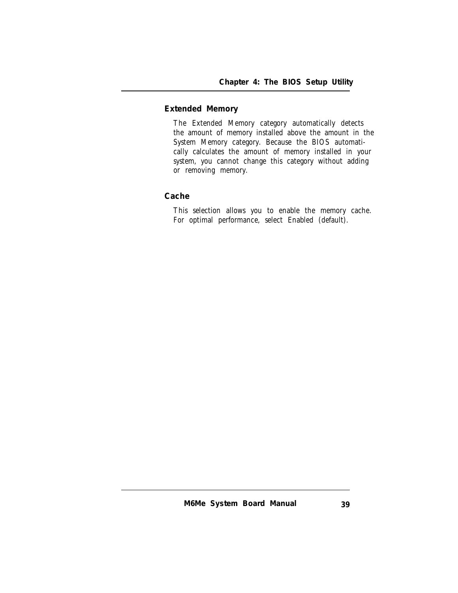# **Extended Memory**

The Extended Memory category automatically detects the amount of memory installed above the amount in the System Memory category. Because the BIOS automatically calculates the amount of memory installed in your system, you cannot change this category without adding or removing memory.

## **Cache**

This selection allows you to enable the memory cache. For optimal performance, select Enabled (default).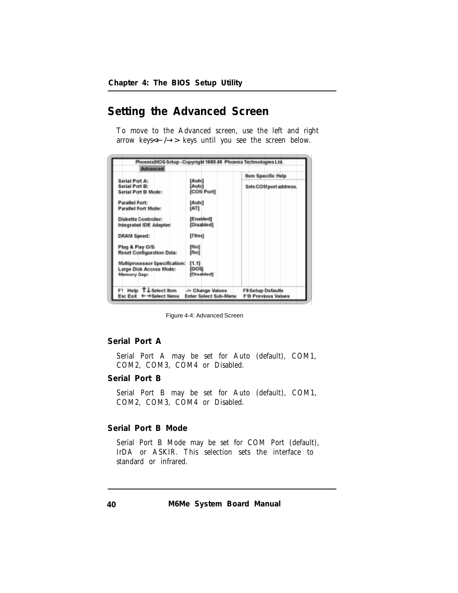# **Setting the Advanced Screen**

To move to the Advanced screen, use the left and right arrow keys  $\leftarrow$  /  $\rightarrow$  keys until you see the screen below.

| [Auto]<br>[Auto]<br><b>ICOM Portl</b> | <b>Item Specific Help</b><br>Sets COMport address.                                                                                                 |
|---------------------------------------|----------------------------------------------------------------------------------------------------------------------------------------------------|
|                                       |                                                                                                                                                    |
|                                       |                                                                                                                                                    |
|                                       |                                                                                                                                                    |
|                                       |                                                                                                                                                    |
|                                       |                                                                                                                                                    |
| [Auto]                                |                                                                                                                                                    |
|                                       |                                                                                                                                                    |
|                                       |                                                                                                                                                    |
| [Disabled]                            |                                                                                                                                                    |
|                                       |                                                                                                                                                    |
|                                       |                                                                                                                                                    |
|                                       |                                                                                                                                                    |
| [No]                                  |                                                                                                                                                    |
|                                       |                                                                                                                                                    |
|                                       |                                                                                                                                                    |
|                                       |                                                                                                                                                    |
|                                       |                                                                                                                                                    |
|                                       |                                                                                                                                                    |
|                                       | F9 Setup Defaults<br><b>F10 Previous Values</b>                                                                                                    |
|                                       | <b>IATI</b><br>[Enabled]<br>[70ns]<br>Mol<br>f1.11<br>[DOS]<br>[Disabled]<br>Help T & Select item ++ Change Values<br><b>Enter Select Sub-Menu</b> |

Figure 4-4: Advanced Screen

#### **Serial Port A**

Serial Port A may be set for Auto (default), COM1, COM2, COM3, COM4 or Disabled.

## **Serial Port B**

Serial Port B may be set for Auto (default), COM1, COM2, COM3, COM4 or Disabled.

# **Serial Port B Mode**

Serial Port B Mode may be set for COM Port (default), IrDA or ASKIR. This selection sets the interface to standard or infrared.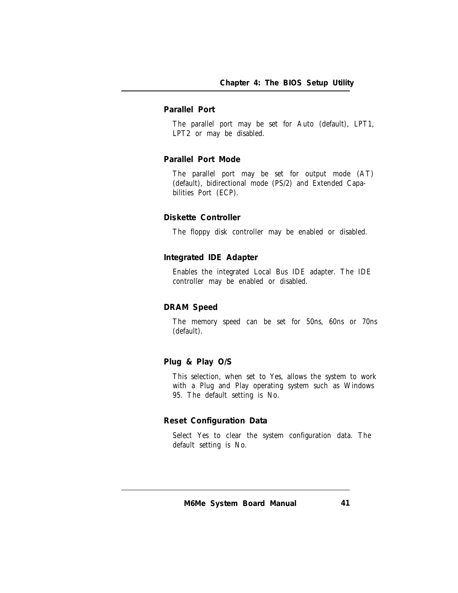# **Parallel Port**

The parallel port may be set for Auto (default), LPT1, LPT2 or may be disabled.

#### **Parallel Port Mode**

The parallel port may be set for output mode (AT) (default), bidirectional mode (PS/2) and Extended Capabilities Port (ECP).

#### **Diskette Controller**

The floppy disk controller may be enabled or disabled.

#### **Integrated IDE Adapter**

Enables the integrated Local Bus IDE adapter. The IDE controller may be enabled or disabled.

#### **DRAM Speed**

The memory speed can be set for 50ns, 60ns or 70ns (default).

# **Plug & Play O/S**

This selection, when set to Yes, allows the system to work with a Plug and Play operating system such as Windows 95. The default setting is No.

#### **Reset Configuration Data**

Select Yes to clear the system configuration data. The default setting is No.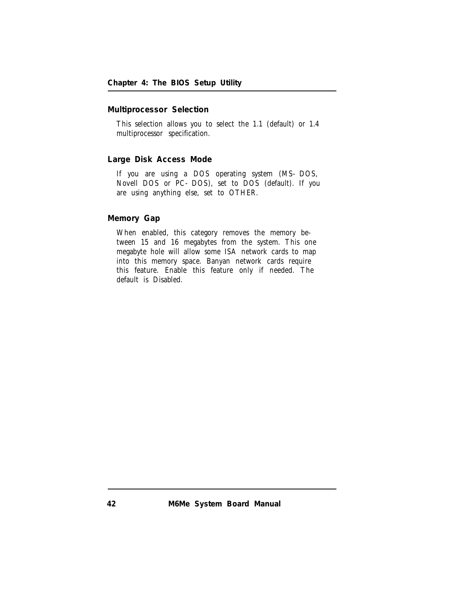# **Multiprocessor Selection**

This selection allows you to select the 1.1 (default) or 1.4 multiprocessor specification.

#### **Large Disk Access Mode**

If you are using a DOS operating system (MS-DOS, Novell DOS or PC-DOS), set to DOS (default). If you are using anything else, set to OTHER.

### **Memory Gap**

When enabled, this category removes the memory between 15 and 16 megabytes from the system. This one megabyte hole will allow some ISA network cards to map into this memory space. Banyan network cards require this feature. Enable this feature only if needed. The default is Disabled.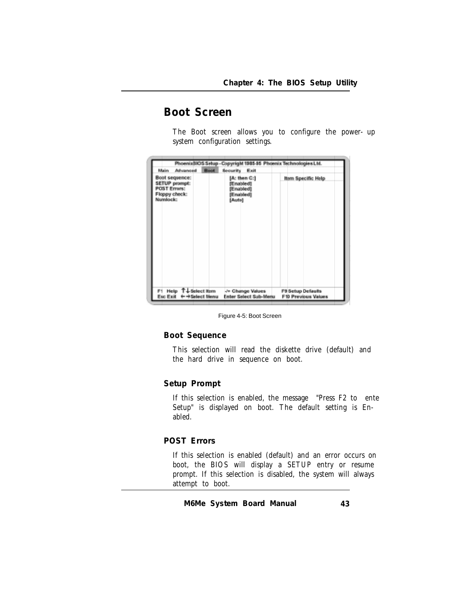# **Boot Screen**

The Boot screen allows you to configure the power-up system configuration settings.

|                                                                              |                                     |             |                                                               | PhoeniaBIOS Setup - Copyright 1985-95 Phoenix Technologies Ltd. |
|------------------------------------------------------------------------------|-------------------------------------|-------------|---------------------------------------------------------------|-----------------------------------------------------------------|
| Main                                                                         | Advanced                            | <b>Boot</b> | Security.<br>Exit                                             |                                                                 |
| Boot sequence:<br>SETUP prompt:<br>PCST Errors:<br>Floppy check:<br>Numlock: |                                     |             | [A: then C:]<br>[Enabled]<br>[Emabled]<br>[Enabled]<br>[Auto] | Item Specific Help                                              |
| F1 Help<br>Esc Exit                                                          | T. J. Select Item<br>+ +Select Menu |             | -/+ Change Values<br><b>Enter Select Sub-Menu</b>             | F9 Setup Defaults<br><b>F10 Previous Values</b>                 |

Figure 4-5: Boot Screen

**Boot Sequence**

This selection will read the diskette drive (default) and the hard drive in sequence on boot.

# **Setup Prompt**

If this selection is enabled, the message "Press F2 to ente Setup" is displayed on boot. The default setting is Enabled.

# **POST Errors**

If this selection is enabled (default) and an error occurs on boot, the BIOS will display a SETUP entry or resume prompt. If this selection is disabled, the system will always attempt to boot.

*M6Me System Board Manual*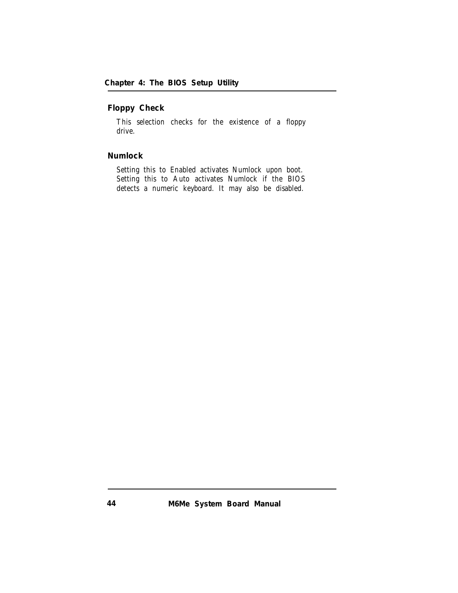**Floppy Check**

This selection checks for the existence of a floppy drive.

**Numlock**

Setting this to Enabled activates Numlock upon boot. Setting this to Auto activates Numlock if the BIOS detects a numeric keyboard. It may also be disabled.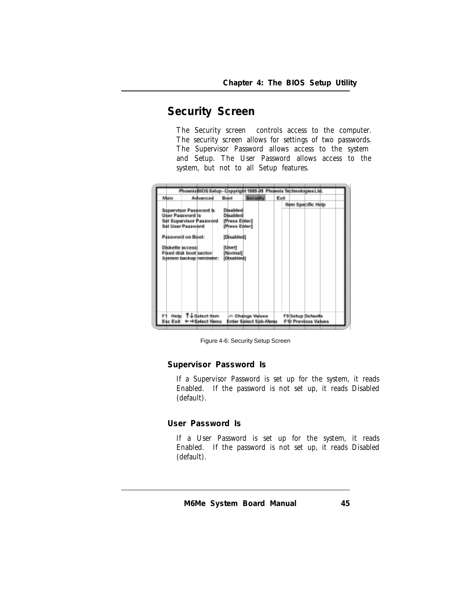# **Security Screen**

The Security screen controls access to the computer. The security screen allows for settings of two passwords. The Supervisor Password allows access to the system and Setup. The User Password allows access to the system, but not to all Setup features.

| Malin                          | Advanced        | Boot          | <b>Security</b>   | Exit |                    |  |
|--------------------------------|-----------------|---------------|-------------------|------|--------------------|--|
|                                |                 |               |                   |      | Item Specific Help |  |
| <b>Supervisor Password Is</b>  |                 | Disabled      |                   |      |                    |  |
| <b>User Password Is</b>        |                 | Disabled      |                   |      |                    |  |
| <b>Set Supervisor Password</b> |                 | [Press Enter] |                   |      |                    |  |
| Set User Password              |                 | [Press Enter] |                   |      |                    |  |
| <b>Password on Boot:</b>       |                 | [Disabled]    |                   |      |                    |  |
|                                |                 |               |                   |      |                    |  |
| <b>Diskette access:</b>        |                 | [User]        |                   |      |                    |  |
| Fixed disk boot sector:        |                 | [Normal]      |                   |      |                    |  |
| System backup reminder:        |                 | [Disabled]    |                   |      |                    |  |
|                                |                 |               |                   |      |                    |  |
|                                |                 |               |                   |      |                    |  |
|                                |                 |               |                   |      |                    |  |
|                                |                 |               |                   |      |                    |  |
|                                |                 |               |                   |      |                    |  |
|                                |                 |               |                   |      |                    |  |
|                                |                 |               |                   |      |                    |  |
|                                |                 |               |                   |      |                    |  |
| F1.<br>Help                    | T J Select Item |               | -/+ Change Values |      | F9 Setup Defaults  |  |

Figure 4-6: Security Setup Screen

**Supervisor Password Is**

If a Supervisor Password is set up for the system, it reads Enabled. If the password is not set up, it reads Disabled (default).

**User Password Is**

If a User Password is set up for the system, it reads Enabled. If the password is not set up, it reads Disabled (default).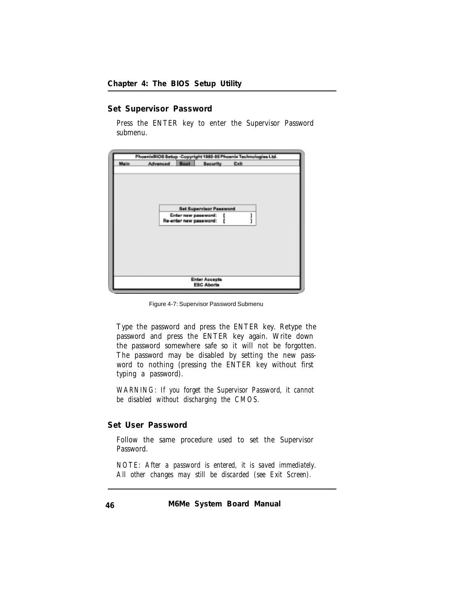**Set Supervisor Password**

Press the ENTER key to enter the Supervisor Password submenu.



Figure 4-7: Supervisor Password Submenu

Type the password and press the ENTER key. Retype the password and press the ENTER key again. Write down the password somewhere safe so it will not be forgotten. The password may be disabled by setting the new password to nothing (pressing the ENTER key without first typing a password).

*WARNING: If you forget the Supervisor Password, it cannot be disabled without discharging the CMOS.*

**Set User Password**

Follow the same procedure used to set the Supervisor Password.

*NOTE: After a password is entered, it is saved immediately. All other changes may still be discarded (see Exit Screen).*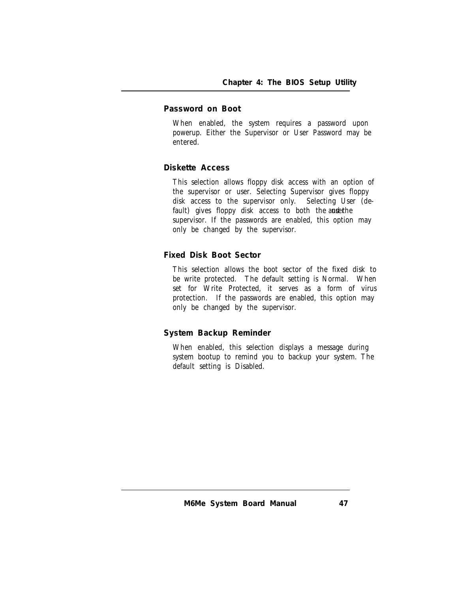## **Password on Boot**

When enabled, the system requires a password upon powerup. Either the Supervisor or User Password may be entered.

## **Diskette Access**

This selection allows floppy disk access with an option of the supervisor or user. Selecting Supervisor gives floppy disk access to the supervisor only. Selecting User (default) gives floppy disk access to both the anserthe supervisor. If the passwords are enabled, this option may only be changed by the supervisor.

# **Fixed Disk Boot Sector**

This selection allows the boot sector of the fixed disk to be write protected. The default setting is Normal. When set for Write Protected, it serves as a form of virus protection. If the passwords are enabled, this option may only be changed by the supervisor.

# **System Backup Reminder**

When enabled, this selection displays a message during system bootup to remind you to backup your system. The default setting is Disabled.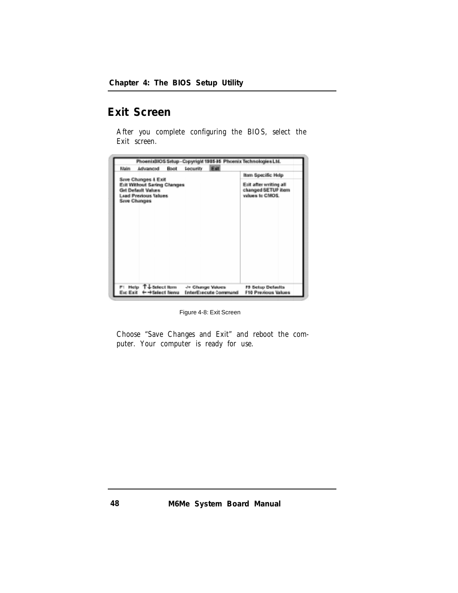# **Exit Screen**

After you complete configuring the BIOS, select the Exit screen.



Figure 4-8: Exit Screen

Choose "Save Changes and Exit" and reboot the computer. Your computer is ready for use.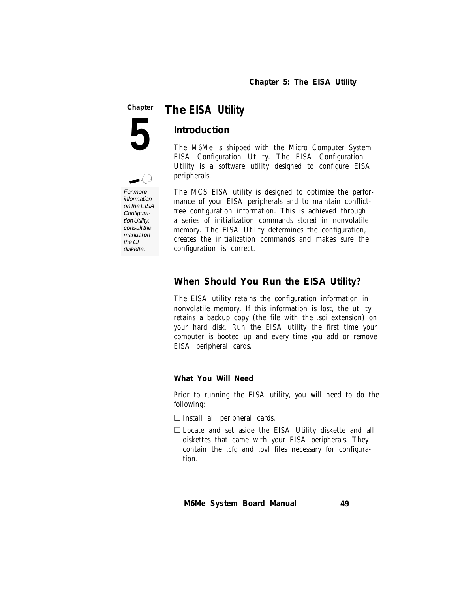#### *The EISA Utility* **Chapter**

**5**

# **Introduction**

The M6Me is shipped with the Micro Computer System EISA Configuration Utility. The EISA Configuration Utility is a software utility designed to configure EISA peripherals.

For more information on the EISA Configura-

tion Utility, consult the manual on the CF diskette.

The MCS EISA utility is designed to optimize the performance of your EISA peripherals and to maintain conflictfree configuration information. This is achieved through a series of initialization commands stored in nonvolatile memory. The EISA Utility determines the configuration, creates the initialization commands and makes sure the configuration is correct.

# **When Should You Run the EISA Utility?**

The EISA utility retains the configuration information in nonvolatile memory. If this information is lost, the utility retains a backup copy (the file with the .sci extension) on your hard disk. Run the EISA utility the first time your computer is booted up and every time you add or remove EISA peripheral cards.

**What You Will Need**

Prior to running the EISA utility, you will need to do the following:

- ❏ Install all peripheral cards.
- ❏ Locate and set aside the EISA Utility diskette and all diskettes that came with your EISA peripherals. They contain the .cfg and .ovl files necessary for configuration.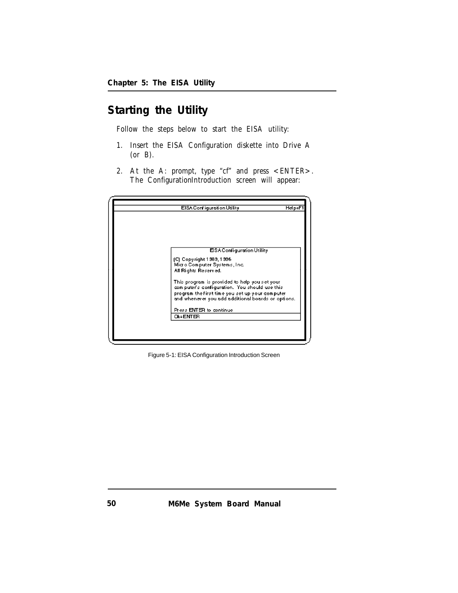# **Starting the Utility**

Follow the steps below to start the EISA utility:

- 1. Insert the EISA Configuration diskette into Drive A (or B).
- 2. At the A: prompt, type "cf" and press <ENTER>. The ConfigurationIntroduction screen will appear:

| EISA Configuration Utility                         | Help=F1 |
|----------------------------------------------------|---------|
|                                                    |         |
|                                                    |         |
|                                                    |         |
|                                                    |         |
|                                                    |         |
| ESA Configuration Utility                          |         |
| (C) Copyright 1389, 1396                           |         |
| Micro Computer Systems, Inc.                       |         |
| All Rights Reserved.                               |         |
| This program is provided to help you set your      |         |
| computer's configuration. You should use this      |         |
| program the first time you set up your computer.   |         |
| and whenever you add additional boards or options. |         |
| Press ENTER to continue                            |         |
| <b>OK=ENTER</b>                                    |         |
|                                                    |         |
|                                                    |         |
|                                                    |         |

Figure 5-1: EISA Configuration Introduction Screen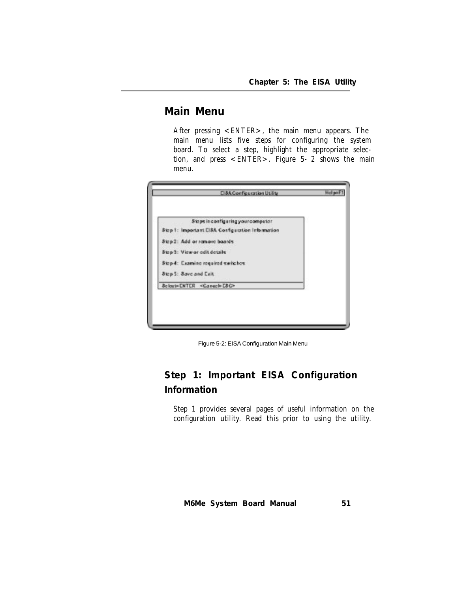# **Main Menu**

After pressing <ENTER>, the main menu appears. The main menu lists five steps for configuring the system board. To select a step, highlight the appropriate selection, and press <ENTER>. Figure 5-2 shows the main menu.

| Steps in configuring your computer               |  |
|--------------------------------------------------|--|
| Step 1: Important CISA Configuration Information |  |
| Sizp 2: Add or ramove boards                     |  |
| Step 3: View or edit details                     |  |
| Stop 4: Examine required waitches                |  |
| Step 5: Save and Cxit                            |  |
| Soloct=ENTER <cancel=esc></cancel=esc>           |  |

Figure 5-2: EISA Configuration Main Menu

# **Step 1: Important EISA Configuration Information**

Step 1 provides several pages of useful information on the configuration utility. Read this prior to using the utility.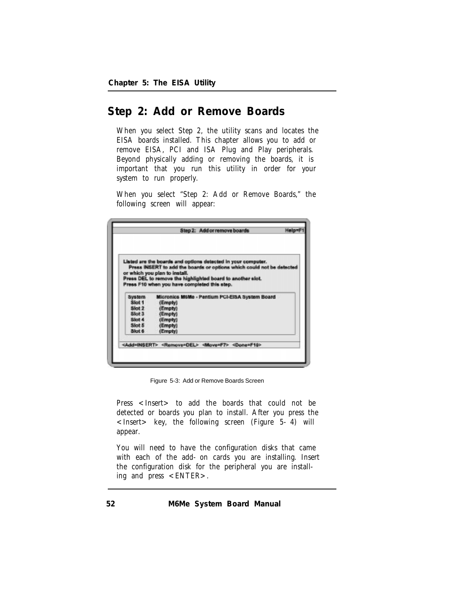# **Step 2: Add or Remove Boards**

When you select Step 2, the utility scans and locates the EISA boards installed. This chapter allows you to add or remove EISA, PCI and ISA Plug and Play peripherals. Beyond physically adding or removing the boards, it is important that you run this utility in order for your system to run properly.

When you select "Step 2: Add or Remove Boards," the following screen will appear:

|        | Listed are the boards and options detected in your computer.<br>Press INSERT to add the boards or options which could not be detected |
|--------|---------------------------------------------------------------------------------------------------------------------------------------|
|        | or which you plan to install.                                                                                                         |
|        | Press DEL to remove the highlighted board to another slot.                                                                            |
|        | Press F10 when you have completed this step.                                                                                          |
|        |                                                                                                                                       |
|        |                                                                                                                                       |
| System | Micronics M6Me - Pentium PCI-EISA System Board                                                                                        |
| Slot 1 | (Emoty)                                                                                                                               |
| Skot 2 | (Empty)                                                                                                                               |
| Slot 3 | (Empty)                                                                                                                               |
| Stot 4 | (Empty)                                                                                                                               |
| Slot 5 | (Empty)                                                                                                                               |

Figure 5-3: Add or Remove Boards Screen

Press <Insert> to add the boards that could not be detected or boards you plan to install. After you press the  $\langle$  Insert > key, the following screen (Figure 5-4) will appear.

You will need to have the configuration disks that came with each of the add-on cards you are installing. Insert the configuration disk for the peripheral you are installing and press <ENTER>.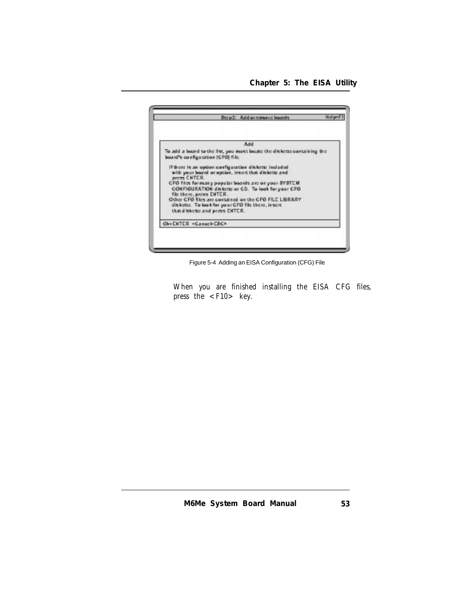*Chapter 5: The EISA Utility*



Figure 5-4 Adding an EISA Configuration (CFG) File

When you are finished installing the EISA CFG files, press the  $\langle$ F10 $\rangle$  key.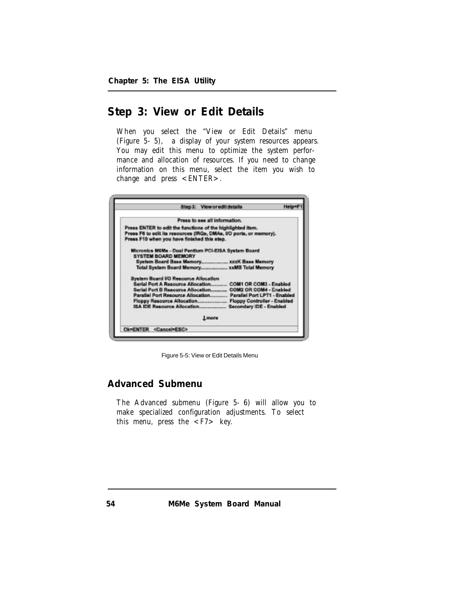# **Step 3: View or Edit Details**

When you select the "View or Edit Details" menu (Figure 5-5), a display of your system resources appears. You may edit this menu to optimize the system performance and allocation of resources. If you need to change information on this menu, select the item you wish to change and press <ENTER>.

| Press to see all information.                                                                                                    |
|----------------------------------------------------------------------------------------------------------------------------------|
| Press ENTER to edit the functions of the highlighted item.<br>Press F6 to edit its resources (IRQs, DMAs, I/O ports, or memory). |
| Press F10 when you have finished this step.                                                                                      |
| Micronics M6Me - Dual Pentium PCI-EISA System Board                                                                              |
| SYSTEM BOARD MEMORY                                                                                                              |
|                                                                                                                                  |
|                                                                                                                                  |
| <b>System Board UO Resource Allocation</b>                                                                                       |
| Serial Port A Resource Allocation COM1 OR COM3 - Enabled                                                                         |
| Serial Port B Resource Allocation COM2 OR COM4 - Enabled                                                                         |
| Parallel Port Resource Allocation Parallel Port LPT1 - Enabled                                                                   |
|                                                                                                                                  |
|                                                                                                                                  |
| <b>Lincorn</b>                                                                                                                   |
|                                                                                                                                  |

Figure 5-5: View or Edit Details Menu

# **Advanced Submenu**

The Advanced submenu (Figure 5-6) will allow you to make specialized configuration adjustments. To select this menu, press the  $\langle F7 \rangle$  key.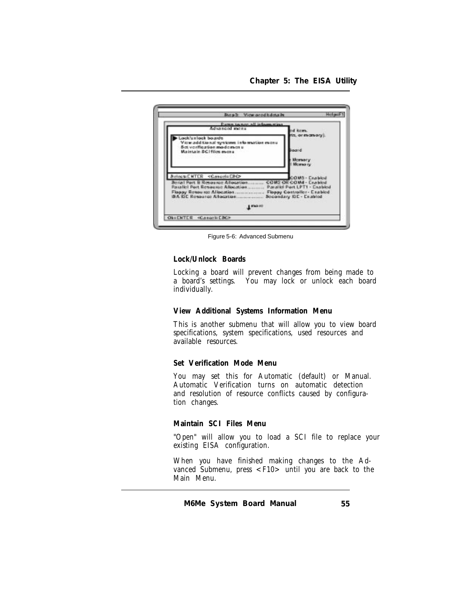*Chapter 5: The EISA Utility*



Figure 5-6: Advanced Submenu

#### **Lock/Unlock Boards**

Locking a board will prevent changes from being made to a board's settings. You may lock or unlock each board individually.

#### **View Additional Systems Information Menu**

This is another submenu that will allow you to view board specifications, system specifications, used resources and available resources.

#### **Set Verification Mode Menu**

You may set this for Automatic (default) or Manual. Automatic Verification turns on automatic detection and resolution of resource conflicts caused by configuration changes.

## **Maintain SCI Files Menu**

"Open" will allow you to load a SCI file to replace your existing EISA configuration.

When you have finished making changes to the Advanced Submenu, press  $\langle$  F10 $\rangle$  until you are back to the Main Menu.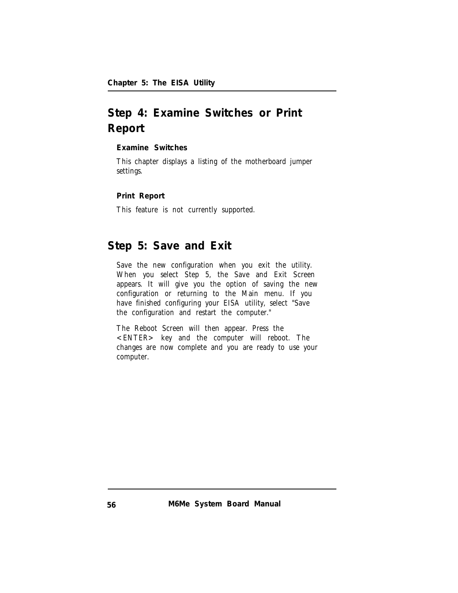# **Step 4: Examine Switches or Print Report**

**Examine Switches**

This chapter displays a listing of the motherboard jumper settings.

**Print Report**

This feature is not currently supported.

# **Step 5: Save and Exit**

Save the new configuration when you exit the utility. When you select Step 5, the Save and Exit Screen appears. It will give you the option of saving the new configuration or returning to the Main menu. If you have finished configuring your EISA utility, select "Save the configuration and restart the computer."

The Reboot Screen will then appear. Press the <ENTER> key and the computer will reboot. The changes are now complete and you are ready to use your computer.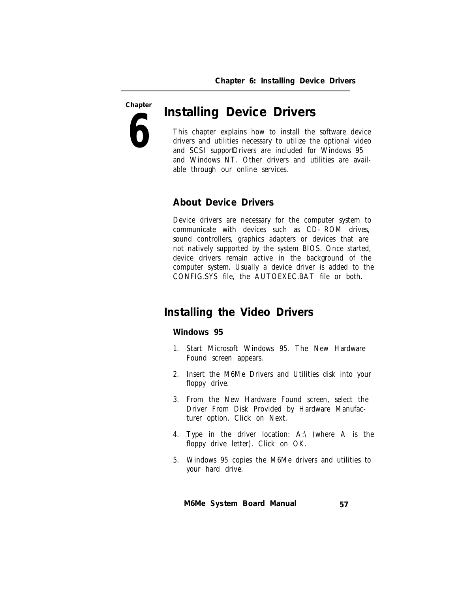**Chapter**

**6**

# *Installing Device Drivers*

This chapter explains how to install the software device drivers and utilities necessary to utilize the optional video and SCSI supportDrivers are included for Windows 95 and Windows NT. Other drivers and utilities are available through our online services.

# **About Device Drivers**

Device drivers are necessary for the computer system to communicate with devices such as CD-ROM drives, sound controllers, graphics adapters or devices that are not natively supported by the system BIOS. Once started, device drivers remain active in the background of the computer system. Usually a device driver is added to the CONFIG.SYS file, the AUTOEXEC.BAT file or both.

# **Installing the Video Drivers**

## **Windows 95**

- 1. Start Microsoft Windows 95. The New Hardware Found screen appears.
- 2. Insert the M6Me Drivers and Utilities disk into your floppy drive.
- 3. From the New Hardware Found screen, select the Driver From Disk Provided by Hardware Manufacturer option. Click on Next.
- 4. Type in the driver location: A:\ (where A is the floppy drive letter). Click on OK.
- 5. Windows 95 copies the M6Me drivers and utilities to your hard drive.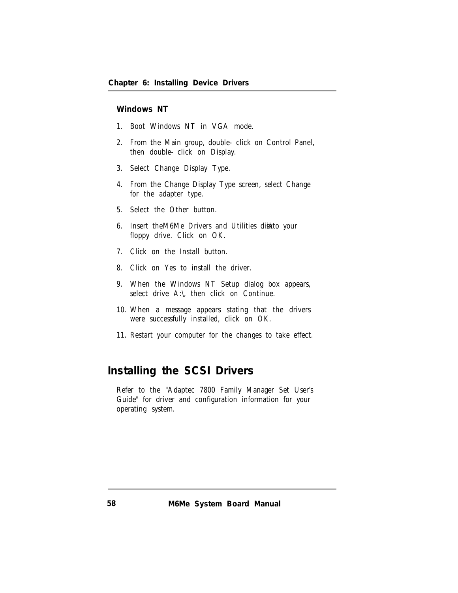## **Windows NT**

- 1. Boot Windows NT in VGA mode.
- 2. From the Main group, double-click on Control Panel, then double-click on Display.
- 3. Select Change Display Type.
- 4. From the Change Display Type screen, select Change for the adapter type.
- 5. Select the Other button.
- 6. Insert the M6Me Drivers and Utilities disk to your floppy drive. Click on OK.
- 7. Click on the Install button.
- 8. Click on Yes to install the driver.
- 9. When the Windows NT Setup dialog box appears, select drive A:\, then click on Continue.
- 10. When a message appears stating that the drivers were successfully installed, click on OK.
- 11. Restart your computer for the changes to take effect.

# **Installing the SCSI Drivers**

Refer to the "Adaptec 7800 Family Manager Set User's Guide" for driver and configuration information for your operating system.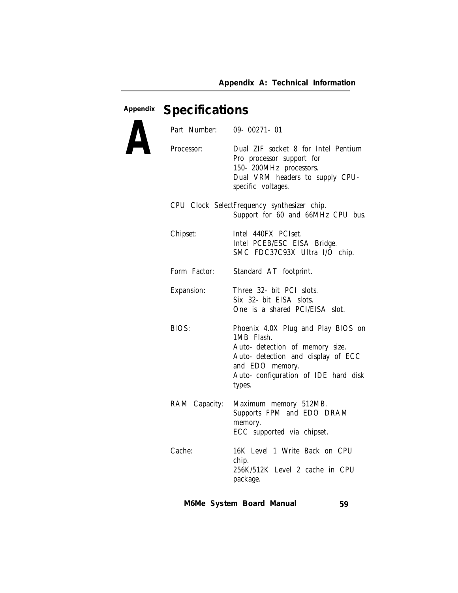# **Appendix** *Specifications*

| Part Number:      | $09 - 00271 - 01$                                                                                                                                                                              |
|-------------------|------------------------------------------------------------------------------------------------------------------------------------------------------------------------------------------------|
| Processor:        | Dual ZIF socket 8 for Intel Pentium<br>Pro processor support for<br>150-200MHz processors.<br>Dual VRM headers to supply CPU-<br>specific voltages.                                            |
|                   | CPU Clock SelectFrequency synthesizer chip.<br>Support for 60 and 66MHz CPU bus.                                                                                                               |
| Chipset:          | Intel 440FX PCIset.<br>Intel PCEB/ESC EISA Bridge.<br>SMC FDC37C93X Ultra I/O chip.                                                                                                            |
| Form Factor:      | Standard AT footprint.                                                                                                                                                                         |
| <b>Expansion:</b> | Three 32- bit PCI slots.<br>Six 32- bit EISA slots.<br>One is a shared PCI/EISA slot.                                                                                                          |
| <b>BIOS:</b>      | Phoenix 4.0X Plug and Play BIOS on<br>1MB Flash.<br>Auto- detection of memory size.<br>Auto- detection and display of ECC<br>and EDO memory.<br>Auto- configuration of IDE hard disk<br>types. |
| RAM Capacity:     | Maximum memory 512MB.<br>Supports FPM and EDO DRAM<br>memory.<br>ECC supported via chipset.                                                                                                    |
| Cache:            | 16K Level 1 Write Back on CPU<br>chip.<br>256K/512K Level 2 cache in CPU<br>package.                                                                                                           |

*M6Me System Board Manual 59*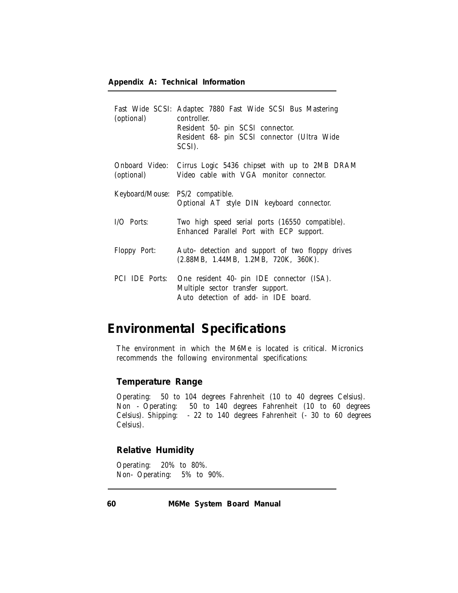| (optional)                       | Fast Wide SCSI: Adaptec 7880 Fast Wide SCSI Bus Mastering<br>controller.<br>Resident 50- pin SCSI connector.<br>Resident 68- pin SCSI connector (Ultra Wide<br>SCSI). |
|----------------------------------|-----------------------------------------------------------------------------------------------------------------------------------------------------------------------|
| (optional)                       | Onboard Video: Cirrus Logic 5436 chipset with up to 2MB DRAM<br>Video cable with VGA monitor connector.                                                               |
| Keyboard/Mouse: PS/2 compatible. | Optional AT style DIN keyboard connector.                                                                                                                             |
| I/O Ports:                       | Two high speed serial ports (16550 compatible).<br>Enhanced Parallel Port with ECP support.                                                                           |
| <b>Floppy Port:</b>              | Auto- detection and support of two floppy drives<br>(2.88MB, 1.44MB, 1.2MB, 720K, 360K).                                                                              |
| <b>PCI IDE Ports:</b>            | One resident 40- pin IDE connector (ISA).<br>Multiple sector transfer support.<br>Auto detection of add- in IDE board.                                                |

# **Environmental Specifications**

The environment in which the M6Me is located is critical. Micronics recommends the following environmental specifications:

# **Temperature Range**

Operating: 50 to 104 degrees Fahrenheit (10 to 40 degrees Celsius).<br>Non - Operating: 50 to 140 degrees Fahrenheit (10 to 60 degree 50 to 140 degrees Fahrenheit (10 to 60 degrees Celsius). Shipping: -22 to 140 degrees Fahrenheit (-30 to 60 degrees Celsius).

**Relative Humidity**

Operating: 20% to 80%. Non-Operating: 5% to 90%.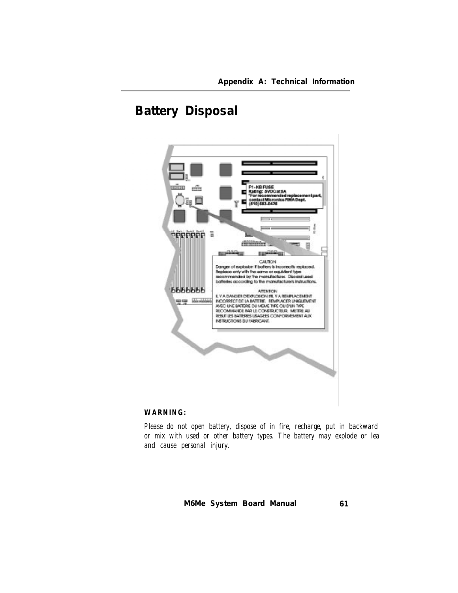# **Battery Disposal**



# *WARNING:*

*Please do not open battery, dispose of in fire, recharge, put in backward or mix with used or other battery types. The battery may explode or lea and cause personal injury.*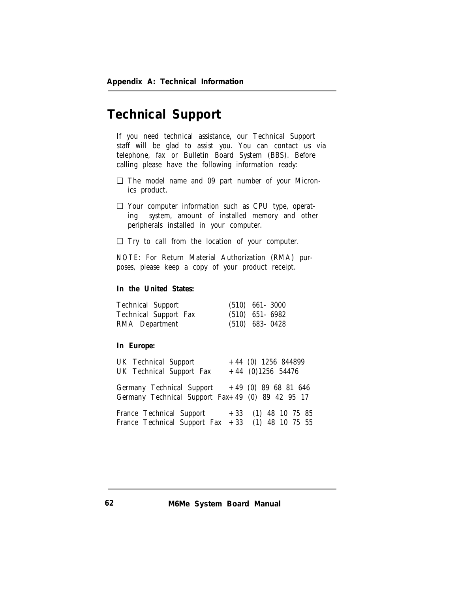# **Technical Support**

If you need technical assistance, our Technical Support staff will be glad to assist you. You can contact us via telephone, fax or Bulletin Board System (BBS). Before calling please have the following information ready:

- ❏ The model name and 09 part number of your Micronics product.
- ❏ Your computer information such as CPU type, operating system, amount of installed memory and other peripherals installed in your computer.
- ❏ Try to call from the location of your computer.

*NOTE:* For Return Material Authorization (RMA) purposes, please keep a copy of your product receipt.

**In the United States:**

| <b>Technical Support</b>     | $(510)$ 661 - 3000 |  |
|------------------------------|--------------------|--|
| <b>Technical Support Fax</b> | $(510)$ 651-6982   |  |
| RMA Department               | $(510)$ 683-0428   |  |

**In Europe:**

| <b>UK Technical Support</b><br><b>UK Technical Support Fax</b>                                       |  | $+44$ (0) 1256 844899<br>$+44$ (0)1256 54476 |  |
|------------------------------------------------------------------------------------------------------|--|----------------------------------------------|--|
| Germany Technical Support $+49$ (0) 89 68 81 646<br>Germany Technical Support Fax+49 (0) 89 42 95 17 |  |                                              |  |
| France Technical Support $+33$ (1) 48 10 75 85<br>France Technical Support Fax $+33$ (1) 48 10 75 55 |  |                                              |  |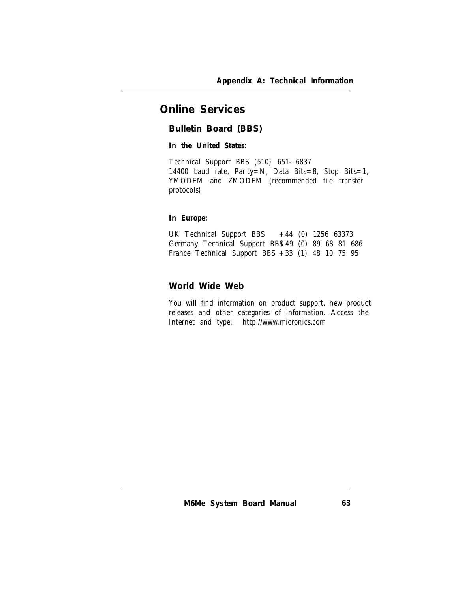# **Online Services**

**Bulletin Board (BBS)**

**In the United States:**

Technical Support BBS (510) 651-6837 14400 baud rate, Parity=N, Data Bits=8, Stop Bits=1, YMODEM and ZMODEM (recommended file transfer protocols)

# **In Europe:**

UK Technical Support BBS  $+44$  (0) 1256 63373 Germany Technical Support BBS+49 (0) 89 68 81 686 France Technical Support BBS +33 (1) 48 10 75 95

**World Wide Web**

You will find information on product support, new product releases and other categories of information. Access the Internet and type: http://www.micronics.com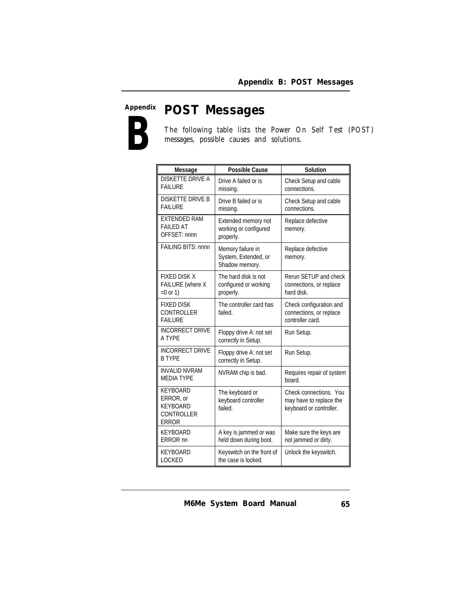# **Appendix B** *POST Messages*

The following table lists the Power On Self Test (POST) messages, possible causes and solutions.

| Message                                                                       | <b>Possible Cause</b>                                       | Solution                                                                     |
|-------------------------------------------------------------------------------|-------------------------------------------------------------|------------------------------------------------------------------------------|
| <b>DISKETTE DRIVE A</b><br><b>FAILURE</b>                                     | Drive A failed or is<br>missing.                            | Check Setup and cable<br>connections.                                        |
| <b>DISKETTE DRIVE B</b><br><b>FAILURE</b>                                     | Drive B failed or is<br>missing.                            | Check Setup and cable<br>connections.                                        |
| <b>EXTENDED RAM</b><br><b>FAILED AT</b><br>OFFSET: nnnn                       | Extended memory not<br>working or configured<br>properly.   | Replace defective<br>memory.                                                 |
| <b>FAILING BITS: nnnn</b>                                                     | Memory failure in<br>System, Extended, or<br>Shadow memory. | Replace defective<br>memory.                                                 |
| <b>FIXED DISK X</b><br><b>FAILURE</b> (where X<br>$=0$ or 1)                  | The hard disk is not<br>configured or working<br>properly.  | Rerun SETUP and check<br>connections, or replace<br>hard disk.               |
| <b>FIXED DISK</b><br>CONTROLLER<br><b>FAILURE</b>                             | The controller card has<br>failed.                          | Check configuration and<br>connections, or replace<br>controller card.       |
| <b>INCORRECT DRIVE</b><br>A TYPE                                              | Floppy drive A: not set<br>correctly in Setup.              | Run Setup.                                                                   |
| <b>INCORRECT DRIVE</b><br><b>B TYPE</b>                                       | Floppy drive A: not set<br>correctly in Setup.              | Run Setup.                                                                   |
| <b>INVALID NVRAM</b><br><b>MEDIA TYPE</b>                                     | NVRAM chip is bad.                                          | Requires repair of system<br>board.                                          |
| <b>KEYBOARD</b><br>ERROR, or<br><b>KEYBOARD</b><br>CONTROLLER<br><b>ERROR</b> | The keyboard or<br>keyboard controller<br>failed.           | Check connections. You<br>may have to replace the<br>keyboard or controller. |
| <b>KEYBOARD</b><br><b>ERROR</b> nn                                            | A key is jammed or was<br>held down during boot.            | Make sure the keys are<br>not jammed or dirty.                               |
| KEYBOARD<br><b>LOCKED</b>                                                     | Keyswitch on the front of<br>the case is locked.            | Unlock the keyswitch.                                                        |

*M6Me System Board Manual*

*65*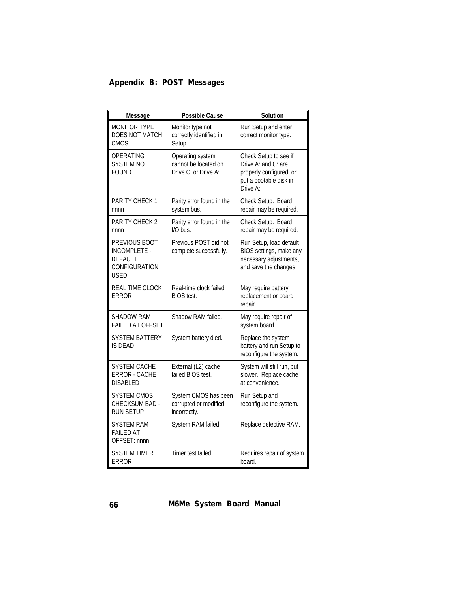# *Appendix B: POST Messages*

| Message                                                                                | <b>Possible Cause</b>                                            | Solution                                                                                                      |
|----------------------------------------------------------------------------------------|------------------------------------------------------------------|---------------------------------------------------------------------------------------------------------------|
| <b>MONITOR TYPE</b><br><b>DOES NOT MATCH</b><br><b>CMOS</b>                            | Monitor type not<br>correctly identified in<br>Setup.            | Run Setup and enter<br>correct monitor type.                                                                  |
| OPERATING<br><b>SYSTEM NOT</b><br><b>FOUND</b>                                         | Operating system<br>cannot be located on<br>Drive C: or Drive A: | Check Setup to see if<br>Drive A: and C: are<br>properly configured, or<br>put a bootable disk in<br>Drive A: |
| <b>PARITY CHECK 1</b><br>nnnn                                                          | Parity error found in the<br>system bus.                         | Check Setup. Board<br>repair may be required.                                                                 |
| <b>PARITY CHECK 2</b><br>nnnn                                                          | Parity error found in the<br>I/O bus.                            | Check Setup. Board<br>repair may be required.                                                                 |
| PREVIOUS BOOT<br><b>INCOMPLETE -</b><br><b>DEFAULT</b><br>CONFIGURATION<br><b>USED</b> | Previous POST did not<br>complete successfully.                  | Run Setup, load default<br>BIOS settings, make any<br>necessary adjustments,<br>and save the changes          |
| <b>REAL TIME CLOCK</b><br>ERROR                                                        | Real-time clock failed<br><b>BIOS</b> test.                      | May require battery<br>replacement or board<br>repair.                                                        |
| SHADOW RAM<br><b>FAILED AT OFFSET</b>                                                  | Shadow RAM failed.                                               | May require repair of<br>system board.                                                                        |
| <b>SYSTEM BATTERY</b><br><b>IS DEAD</b>                                                | System battery died.                                             | Replace the system<br>battery and run Setup to<br>reconfigure the system.                                     |
| SYSTEM CACHE<br>ERROR - CACHE<br><b>DISABLED</b>                                       | External (L2) cache<br>failed BIOS test.                         | System will still run, but<br>slower. Replace cache<br>at convenience.                                        |
| SYSTEM CMOS<br>CHECKSUM BAD -<br><b>RUN SETUP</b>                                      | System CMOS has been<br>corrupted or modified<br>incorrectly.    | Run Setup and<br>reconfigure the system.                                                                      |
| SYSTEM RAM<br><b>FAILED AT</b><br>OFFSET: nnnn                                         | System RAM failed.                                               | Replace defective RAM.                                                                                        |
| SYSTEM TIMER<br><b>ERROR</b>                                                           | Timer test failed.                                               | Requires repair of system<br>board.                                                                           |

*M6Me System Board Manual*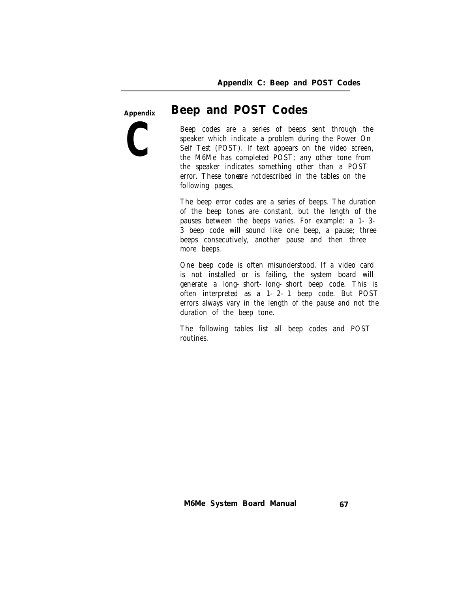**Appendix**

**C**

# *Beep and POST Codes*

Beep codes are a series of beeps sent through the speaker which indicate a problem during the Power On Self Test (POST). If text appears on the video screen, the M6Me has completed POST; any other tone from the speaker indicates something other than a POST error. These tones *re* not described in the tables on the following pages.

The beep error codes are a series of beeps. The duration of the beep tones are constant, but the length of the pauses between the beeps varies. For example: a 1-3- 3 beep code will sound like one beep, a pause; three beeps consecutively, another pause and then three more beeps.

One beep code is often misunderstood. If a video card is not installed or is failing, the system board will generate a long-short-long-short beep code. This is often interpreted as a 1-2-1 beep code. But POST errors always vary in the length of the pause and not the duration of the beep tone.

The following tables list all beep codes and POST routines.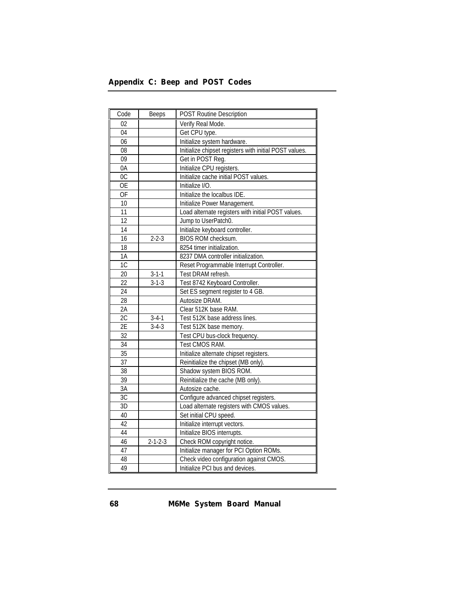| Appendix C: Beep and POST Codes |  |  |  |  |  |
|---------------------------------|--|--|--|--|--|
|---------------------------------|--|--|--|--|--|

| Code            | <b>Beeps</b>    | <b>POST Routine Description</b>                        |
|-----------------|-----------------|--------------------------------------------------------|
| 02              |                 | Verify Real Mode.                                      |
| 04              |                 | Get CPU type.                                          |
| 06              |                 | Initialize system hardware.                            |
| 08              |                 | Initialize chipset registers with initial POST values. |
| 09              |                 | Get in POST Reg.                                       |
| 0A              |                 | Initialize CPU registers.                              |
| $\overline{OC}$ |                 | Initialize cache initial POST values.                  |
| <b>OE</b>       |                 | Initialize I/O.                                        |
| <b>OF</b>       |                 | Initialize the localbus IDE.                           |
| 10              |                 | Initialize Power Management.                           |
| 11              |                 | Load alternate registers with initial POST values.     |
| 12              |                 | Jump to UserPatch0.                                    |
| 14              |                 | Initialize keyboard controller.                        |
| 16              | $2 - 2 - 3$     | BIOS ROM checksum.                                     |
| 18              |                 | 8254 timer initialization.                             |
| 1A              |                 | 8237 DMA controller initialization.                    |
| 1C              |                 | Reset Programmable Interrupt Controller.               |
| 20              | $3 - 1 - 1$     | Test DRAM refresh.                                     |
| 22              | $3 - 1 - 3$     | Test 8742 Keyboard Controller.                         |
| $\overline{24}$ |                 | Set ES segment register to 4 GB.                       |
| 28              |                 | Autosize DRAM.                                         |
| 2A              |                 | Clear 512K base RAM.                                   |
| 2C              | $3 - 4 - 1$     | Test 512K base address lines.                          |
| 2E              | $3 - 4 - 3$     | Test 512K base memory.                                 |
| $\overline{32}$ |                 | Test CPU bus-clock frequency.                          |
| 34              |                 | Test CMOS RAM.                                         |
| $\overline{35}$ |                 | Initialize alternate chipset registers.                |
| $\overline{37}$ |                 | Reinitialize the chipset (MB only).                    |
| 38              |                 | Shadow system BIOS ROM.                                |
| $\overline{39}$ |                 | Reinitialize the cache (MB only).                      |
| 3A              |                 | Autosize cache.                                        |
| 3C              |                 | Configure advanced chipset registers.                  |
| 3D              |                 | Load alternate registers with CMOS values.             |
| 40              |                 | Set initial CPU speed.                                 |
| 42              |                 | Initialize interrupt vectors.                          |
| 44              |                 | Initialize BIOS interrupts.                            |
| 46              | $2 - 1 - 2 - 3$ | Check ROM copyright notice.                            |
| 47              |                 | Initialize manager for PCI Option ROMs.                |
| 48              |                 | Check video configuration against CMOS.                |
| 49              |                 | Initialize PCI bus and devices.                        |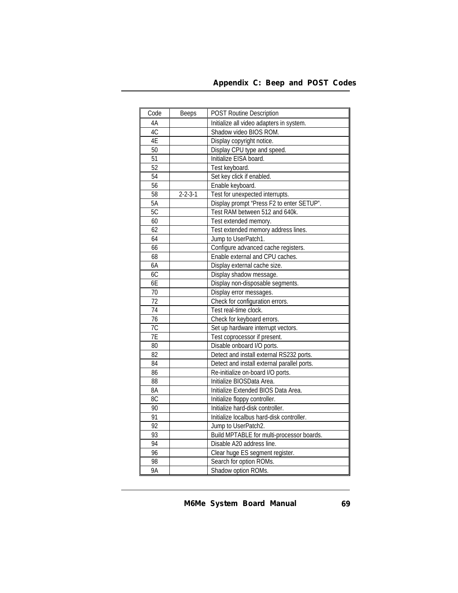| Appendix C: Beep and POST Codes |  |  |  |  |
|---------------------------------|--|--|--|--|
|---------------------------------|--|--|--|--|

| Code            | <b>Beeps</b>          | <b>POST Routine Description</b>             |
|-----------------|-----------------------|---------------------------------------------|
| 4A              |                       | Initialize all video adapters in system.    |
| 4C              |                       | Shadow video BIOS ROM.                      |
| 4E              |                       | Display copyright notice.                   |
| 50              |                       | Display CPU type and speed.                 |
| 51              |                       | Initialize EISA board.                      |
| $\overline{52}$ |                       | Test keyboard.                              |
| $\overline{54}$ |                       | Set key click if enabled.                   |
| 56              |                       | Enable keyboard.                            |
| $\overline{58}$ | $\overline{2}$ -2-3-1 | Test for unexpected interrupts.             |
| $\overline{5A}$ |                       | Display prompt "Press F2 to enter SETUP".   |
| 5C              |                       | Test RAM between 512 and 640k.              |
| 60              |                       | Test extended memory.                       |
| 62              |                       | Test extended memory address lines.         |
| 64              |                       | Jump to UserPatch1.                         |
| 66              |                       | Configure advanced cache registers.         |
| 68              |                       | Enable external and CPU caches.             |
| 6A              |                       | Display external cache size.                |
| 6C              |                       | Display shadow message.                     |
| 6E              |                       | Display non-disposable segments.            |
| 70              |                       | Display error messages.                     |
| 72              |                       | Check for configuration errors.             |
| 74              |                       | Test real-time clock.                       |
| $\overline{76}$ |                       | Check for keyboard errors.                  |
| 7C              |                       | Set up hardware interrupt vectors.          |
| 7E              |                       | Test coprocessor if present.                |
| 80              |                       | Disable onboard I/O ports.                  |
| 82              |                       | Detect and install external RS232 ports.    |
| 84              |                       | Detect and install external parallel ports. |
| 86              |                       | Re-initialize on-board I/O ports.           |
| 88              |                       | Initialize BIOSData Area.                   |
| $\overline{8A}$ |                       | Initialize Extended BIOS Data Area.         |
| 8C              |                       | Initialize floppy controller.               |
| 90              |                       | Initialize hard-disk controller.            |
| $\overline{91}$ |                       | Initialize localbus hard-disk controller.   |
| $\overline{92}$ |                       | Jump to UserPatch2.                         |
| 93              |                       | Build MPTABLE for multi-processor boards.   |
| 94              |                       | Disable A20 address line.                   |
| $\overline{96}$ |                       | Clear huge ES segment register.             |
| 98              |                       | Search for option ROMs.                     |
| 9Α              |                       | Shadow option ROMs.                         |

*M6Me System Board Manual*

*69*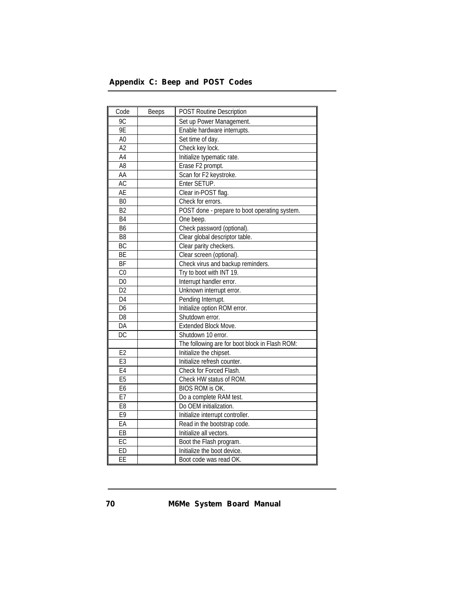# *Appendix C: Beep and POST Codes*

| Code            | <b>Beeps</b> | <b>POST Routine Description</b>                |
|-----------------|--------------|------------------------------------------------|
| 9C              |              | Set up Power Management.                       |
| <b>9E</b>       |              | Enable hardware interrupts.                    |
| A <sub>0</sub>  |              | Set time of day.                               |
| $\overline{A2}$ |              | Check key lock.                                |
| $\overline{A4}$ |              | Initialize typematic rate.                     |
| $\overline{AB}$ |              | Erase F2 prompt.                               |
| AA              |              | Scan for F2 keystroke.                         |
| AC              |              | Enter SETUP.                                   |
| AE              |              | Clear in-POST flag.                            |
| B <sub>0</sub>  |              | Check for errors.                              |
| B <sub>2</sub>  |              | POST done - prepare to boot operating system.  |
| B <sub>4</sub>  |              | One beep.                                      |
| $\overline{B6}$ |              | Check password (optional).                     |
| B <sub>8</sub>  |              | Clear global descriptor table.                 |
| BC              |              | Clear parity checkers.                         |
| $\overline{BE}$ |              | Clear screen (optional).                       |
| <b>BF</b>       |              | Check virus and backup reminders.              |
| $\overline{C}$  |              | Try to boot with INT 19.                       |
| $\overline{D0}$ |              | Interrupt handler error.                       |
| D <sub>2</sub>  |              | Unknown interrupt error.                       |
| D <sub>4</sub>  |              | Pending Interrupt.                             |
| D <sub>6</sub>  |              | Initialize option ROM error.                   |
| D <sub>8</sub>  |              | Shutdown error.                                |
| DA              |              | <b>Extended Block Move.</b>                    |
| $\overline{DC}$ |              | Shutdown 10 error.                             |
|                 |              | The following are for boot block in Flash ROM: |
| E2              |              | Initialize the chipset.                        |
| E3              |              | Initialize refresh counter.                    |
| E4              |              | Check for Forced Flash.                        |
| E5              |              | Check HW status of ROM.                        |
| E6              |              | BIOS ROM is OK.                                |
| E7              |              | Do a complete RAM test.                        |
| E <sub>8</sub>  |              | Do OEM initialization.                         |
| E <sub>9</sub>  |              | Initialize interrupt controller.               |
| EA              |              | Read in the bootstrap code.                    |
| EB              |              | Initialize all vectors.                        |
| EC              |              | Boot the Flash program.                        |
| ED              |              | Initialize the boot device.                    |
| EE              |              | Boot code was read OK.                         |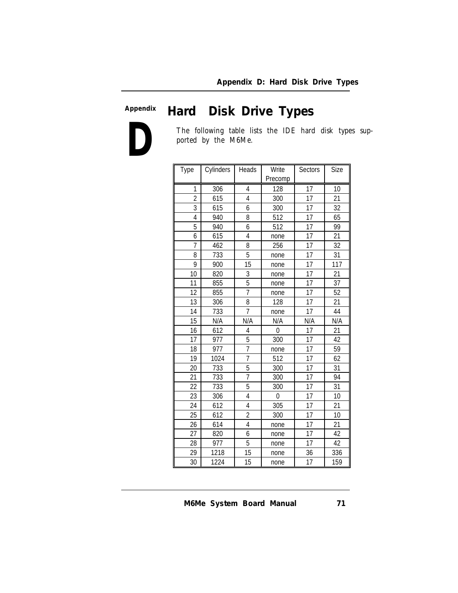#### *Hard Disk Drive Types* **Appendix**

**D**

The following table lists the IDE hard disk types supported by the M6Me.

| Type           | Cylinders | Heads          | Write<br>Precomp | <b>Sectors</b>  | Size |
|----------------|-----------|----------------|------------------|-----------------|------|
| 1              | 306       | 4              | 128              | 17              | 10   |
| $\overline{2}$ | 615       | $\overline{4}$ | 300              | 17              | 21   |
| $\overline{3}$ | 615       | 6              | 300              | 17              | 32   |
| 4              | 940       | 8              | 512              | 17              | 65   |
| 5              | 940       | 6              | 512              | 17              | 99   |
| 6              | 615       | 4              | none             | $\overline{17}$ | 21   |
| 7              | 462       | 8              | 256              | 17              | 32   |
| 8              | 733       | 5              | none             | 17              | 31   |
| 9              | 900       | 15             | none             | 17              | 117  |
| 10             | 820       | 3              | none             | 17              | 21   |
| 11             | 855       | $\overline{5}$ | none             | 17              | 37   |
| 12             | 855       | $\overline{7}$ | none             | 17              | 52   |
| 13             | 306       | 8              | 128              | 17              | 21   |
| 14             | 733       | $\overline{1}$ | none             | 17              | 44   |
| 15             | N/A       | N/A            | N/A              | N/A             | N/A  |
| 16             | 612       | 4              | $\mathbf{0}$     | 17              | 21   |
| 17             | 977       | 5              | 300              | 17              | 42   |
| 18             | 977       | 7              | none             | 17              | 59   |
| 19             | 1024      | 7              | 512              | 17              | 62   |
| 20             | 733       | 5              | 300              | 17              | 31   |
| 21             | 733       | $\overline{1}$ | 300              | 17              | 94   |
| 22             | 733       | 5              | 300              | 17              | 31   |
| 23             | 306       | 4              | $\mathbf{0}$     | 17              | 10   |
| 24             | 612       | 4              | 305              | 17              | 21   |
| 25             | 612       | $\overline{2}$ | 300              | 17              | 10   |
| 26             | 614       | 4              | none             | 17              | 21   |
| 27             | 820       | 6              | none             | 17              | 42   |
| 28             | 977       | 5              | none             | 17              | 42   |
| 29             | 1218      | 15             | none             | 36              | 336  |
| 30             | 1224      | 15             | none             | 17              | 159  |

*M6Me System Board Manual*

*71*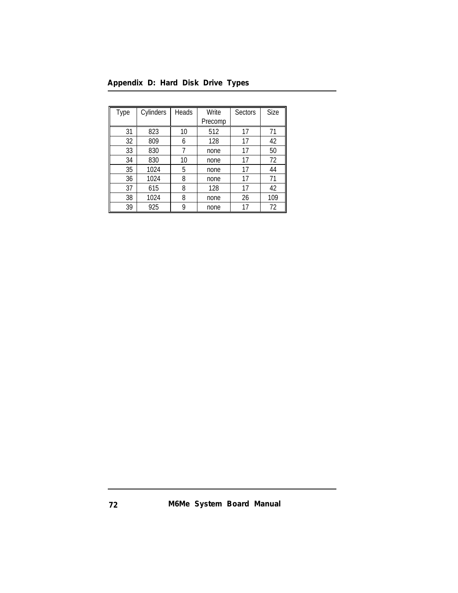| Appendix D: Hard Disk Drive Types |  |  |  |
|-----------------------------------|--|--|--|
|-----------------------------------|--|--|--|

| <b>Type</b> | Cylinders | Heads | Write   | <b>Sectors</b> | Size |
|-------------|-----------|-------|---------|----------------|------|
|             |           |       | Precomp |                |      |
| 31          | 823       | 10    | 512     | 17             | 71   |
| 32          | 809       | 6     | 128     | 17             | 42   |
| 33          | 830       | 7     | none    | 17             | 50   |
| 34          | 830       | 10    | none    | 17             | 72   |
| 35          | 1024      | 5     | none    | 17             | 44   |
| 36          | 1024      | 8     | none    | 17             | 71   |
| 37          | 615       | 8     | 128     | 17             | 42   |
| 38          | 1024      | 8     | none    | 26             | 109  |
| 39          | 925       | 9     | none    | 17             | 72   |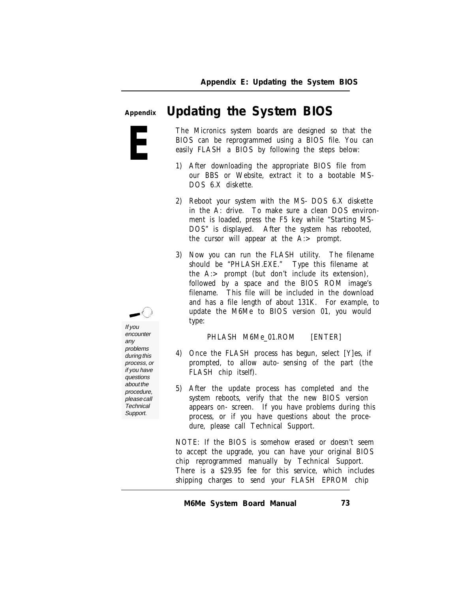**Appendix**

# *Updating the System BIOS*

**E**

If you

encounter any problems during this process, or if you have questions about the procedure, please call **Technical** Support.

The Micronics system boards are designed so that the BIOS can be reprogrammed using a BIOS file. You can easily FLASH a BIOS by following the steps below:

- 1) After downloading the appropriate BIOS file from our BBS or Website, extract it to a bootable MS-DOS 6.X diskette.
- 2) Reboot your system with the MS-DOS 6.X diskette in the A: drive. To make sure a clean DOS environment is loaded, press the F5 key while "Starting MS-DOS" is displayed. After the system has rebooted, the cursor will appear at the A:> prompt.
- 3) Now you can run the FLASH utility. The filename should be "PHLASH.EXE." Type this filename at the A:> prompt (but don't include its extension), followed by a space and the BIOS ROM image's filename. This file will be included in the download and has a file length of about 131K. For example, to update the M6Me to BIOS version 01, you would type:

PHLASH M6Me\_01.ROM [ENTER]

- 4) Once the FLASH process has begun, select [Y]es, if prompted, to allow auto-sensing of the part (the FLASH chip itself).
- 5) After the update process has completed and the system reboots, verify that the new BIOS version appears on-screen. If you have problems during this process, or if you have questions about the procedure, please call Technical Support.

NOTE: If the BIOS is somehow erased or doesn't seem to accept the upgrade, you can have your original BIOS chip reprogrammed manually by Technical Support. There is a \$29.95 fee for this service, which includes shipping charges to send your FLASH EPROM chip

*M6Me System Board Manual*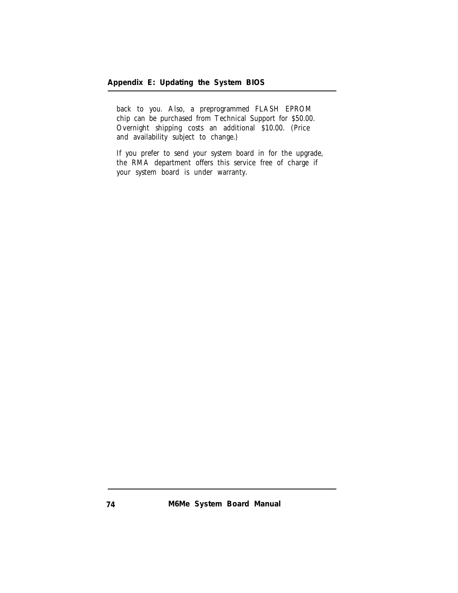back to you. Also, a preprogrammed FLASH EPROM chip can be purchased from Technical Support for \$50.00. Overnight shipping costs an additional \$10.00. (Price and availability subject to change.)

If you prefer to send your system board in for the upgrade, the RMA department offers this service free of charge if your system board is under warranty.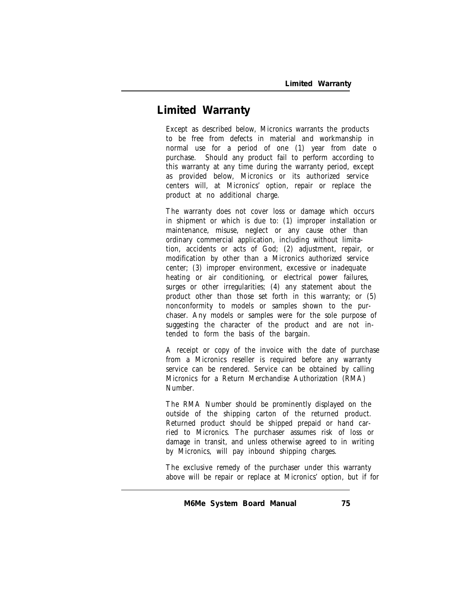## **Limited Warranty**

Except as described below, Micronics warrants the products to be free from defects in material and workmanship in normal use for a period of one (1) year from date o purchase. Should any product fail to perform according to this warranty at any time during the warranty period, except as provided below, Micronics or its authorized service centers will, at Micronics' option, repair or replace the product at no additional charge.

The warranty does not cover loss or damage which occurs in shipment or which is due to: (1) improper installation or maintenance, misuse, neglect or any cause other than ordinary commercial application, including without limitation, accidents or acts of God; (2) adjustment, repair, or modification by other than a Micronics authorized service center; (3) improper environment, excessive or inadequate heating or air conditioning, or electrical power failures, surges or other irregularities; (4) any statement about the product other than those set forth in this warranty; or (5) nonconformity to models or samples shown to the purchaser. Any models or samples were for the sole purpose of suggesting the character of the product and are not intended to form the basis of the bargain.

A receipt or copy of the invoice with the date of purchase from a Micronics reseller is required before any warranty service can be rendered. Service can be obtained by calling Micronics for a Return Merchandise Authorization (RMA) Number.

The RMA Number should be prominently displayed on the outside of the shipping carton of the returned product. Returned product should be shipped prepaid or hand carried to Micronics. The purchaser assumes risk of loss or damage in transit, and unless otherwise agreed to in writing by Micronics, will pay inbound shipping charges.

The exclusive remedy of the purchaser under this warranty above will be repair or replace at Micronics' option, but if for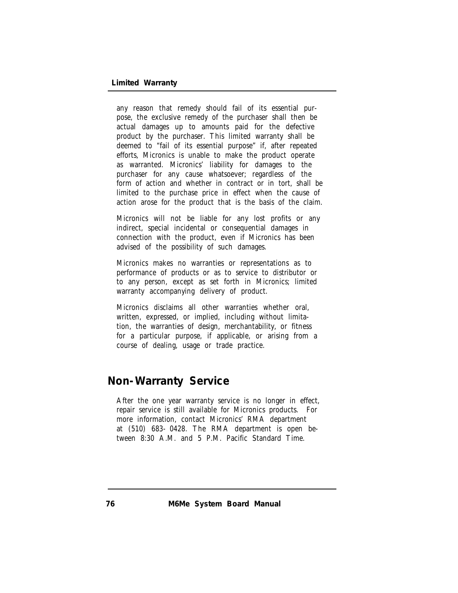any reason that remedy should fail of its essential purpose, the exclusive remedy of the purchaser shall then be actual damages up to amounts paid for the defective product by the purchaser. This limited warranty shall be deemed to "fail of its essential purpose" if, after repeated efforts, Micronics is unable to make the product operate as warranted. Micronics' liability for damages to the purchaser for any cause whatsoever; regardless of the form of action and whether in contract or in tort, shall be limited to the purchase price in effect when the cause of action arose for the product that is the basis of the claim.

Micronics will not be liable for any lost profits or any indirect, special incidental or consequential damages in connection with the product, even if Micronics has been advised of the possibility of such damages.

Micronics makes no warranties or representations as to performance of products or as to service to distributor or to any person, except as set forth in Micronics; limited warranty accompanying delivery of product.

Micronics disclaims all other warranties whether oral, written, expressed, or implied, including without limitation, the warranties of design, merchantability, or fitness for a particular purpose, if applicable, or arising from a course of dealing, usage or trade practice.

## **Non-Warranty Service**

After the one year warranty service is no longer in effect, repair service is still available for Micronics products. For more information, contact Micronics' RMA department at (510) 683-0428. The RMA department is open between 8:30 A.M. and 5 P.M. Pacific Standard Time.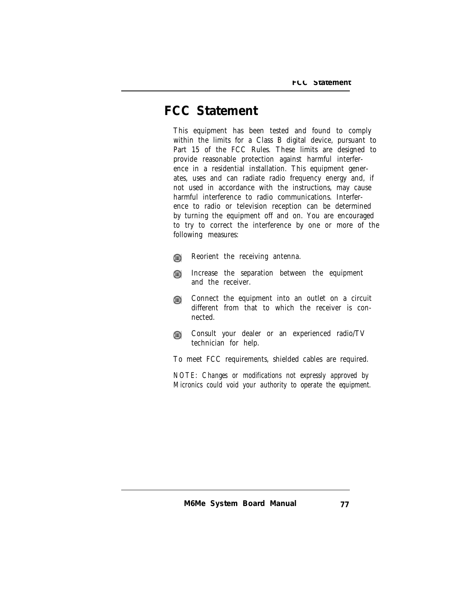# **FCC Statement**

This equipment has been tested and found to comply within the limits for a Class B digital device, pursuant to Part 15 of the FCC Rules. These limits are designed to provide reasonable protection against harmful interference in a residential installation. This equipment generates, uses and can radiate radio frequency energy and, if not used in accordance with the instructions, may cause harmful interference to radio communications. Interference to radio or television reception can be determined by turning the equipment off and on. You are encouraged to try to correct the interference by one or more of the following measures:

- Reorient the receiving antenna. ⋒
- Increase the separation between the equipment ⋒ and the receiver.
- Connect the equipment into an outlet on a circuit ⋒ different from that to which the receiver is connected.
- Consult your dealer or an experienced radio/TV ⋒ technician for help.

To meet FCC requirements, shielded cables are required.

*NOTE: Changes or modifications not expressly approved by Micronics could void your authority to operate the equipment.*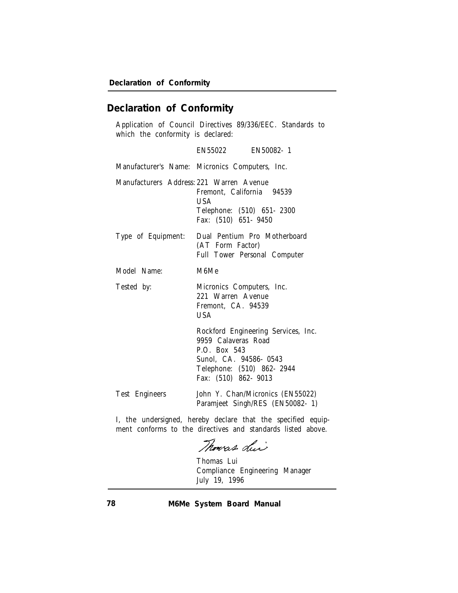## **Declaration of Conformity**

Application of Council Directives 89/336/EEC. Standards to which the conformity is declared:

|                                          | EN55022 EN50082-1                                                                                                                                        |
|------------------------------------------|----------------------------------------------------------------------------------------------------------------------------------------------------------|
|                                          | Manufacturer's Name: Micronics Computers, Inc.                                                                                                           |
| Manufacturers Address: 221 Warren Avenue | Fremont, California 94539<br><b>USA</b><br>Telephone: (510) 651-2300<br>Fax: (510) 651-9450                                                              |
| Type of Equipment:                       | Dual Pentium Pro Motherboard<br>(AT Form Factor)<br><b>Full Tower Personal Computer</b>                                                                  |
| Model Name:                              | M6Me                                                                                                                                                     |
| Tested by:                               | Micronics Computers, Inc.<br>221 Warren Avenue<br>Fremont, CA. 94539<br><b>USA</b>                                                                       |
|                                          | Rockford Engineering Services, Inc.<br>9959 Calaveras Road<br>P.O. Box 543<br>Sunol. CA. 94586-0543<br>Telephone: (510) 862-2944<br>Fax: (510) 862- 9013 |
| <b>Test Engineers</b>                    | John Y. Chan/Micronics (EN55022)<br>Paramjeet Singh/RES (EN50082-1)                                                                                      |

I, the undersigned, hereby declare that the specified equipment conforms to the directives and standards listed above.

Thomas du

Thomas Lui Compliance Engineering Manager July 19, 1996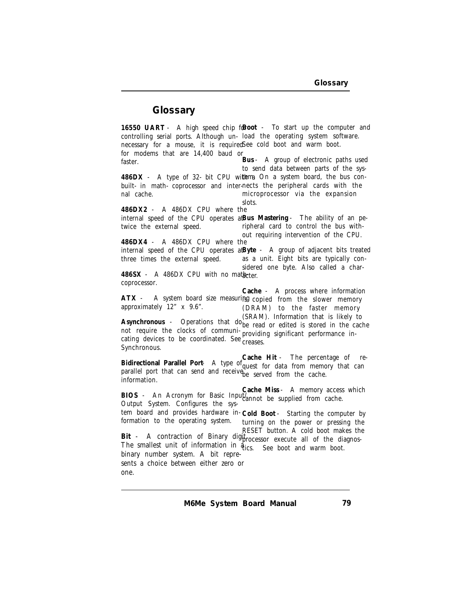### **Glossary**

16550 UART - A high speed chip for **boot** - To start up the computer and controlling serial ports. Although un-load the operating system software. necessary for a mouse, it is required See cold boot and warm boot. for modems that are 14,400 baud or faster. 486DX - A type of 32- bit CPU wi**th**ma On a system board, the bus conbuilt- in math- coprocessor and inter-nects the peripheral cards with the nal cache. **486DX2** - A 486DX CPU where the internal speed of the CPU operates at **Bus Mastering** - The ability of an petwice the external speed. **486DX4** - A 486DX CPU where the internal speed of the CPU operates at **Byte** - A group of adjacent bits treated three times the external speed. 486SX - A 486DX CPU with no matheter. coprocessor. ATX - A system board size measuring copied from the slower memory approximately 12" x 9.6". **Asynchronous** - Operations that do (SRAM). Information that is likely to not require the clocks of communi-<sub>r</sub> not require the clocks of community providing significant performance in-<br>cating devices to be coordinated. See creases. Synchronous. **Bidirectional Parallel Port** - A type of **Cache Hit** - The percentage of reparallel port that can send and receive be served from the cache. information. **BIOS** - An Acronym for Basic Input/ **Cache Miss** - A memory access which Output System. Configures the system board and provides hardware in-**Cold Boot** - Starting the computer by formation to the operating system. RESET button. A cold boot makes the<br>- Bit - A contraction of Binary digi<sub>processor</sub> execute all of the diagnos The smallest unit of information in  $\vec{q}_{\text{ics.}}$  See boot and warm boot. binary number system. A bit represents a choice between either zero or one. **Bus** - A group of electronic paths used to send data between parts of the sysmicroprocessor via the expansion slots. ripheral card to control the bus without requiring intervention of the CPU. as a unit. Eight bits are typically considered one byte. Also called a char-**Cache** - A process where information (DRAM) to the faster memory<br>(SRAM). Information that is likely to be read or edited is stored in the cache creases. quest for data from memory that can cannot be supplied from cache. turning on the power or pressing the<br>RESET button. A cold boot makes the processor execute all of the diagnos-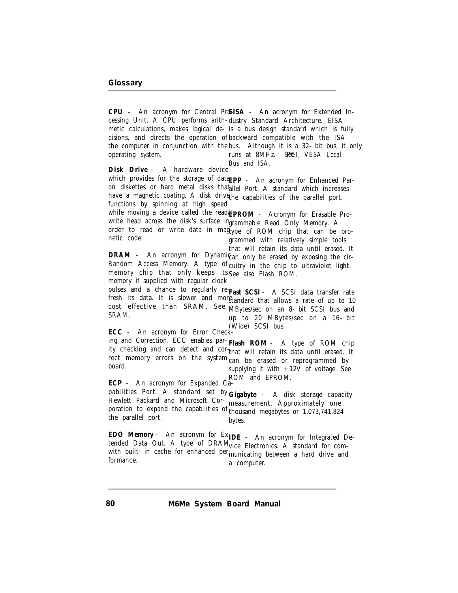**CPU** - An acronym for Central Pro-**EISA** - An acronym for Extended Incessing Unit. A CPU performs arith-dustry Standard Architecture. EISA metic calculations, makes logical de-is a bus design standard which is fully cisions, and directs the operation of backward compatible with the ISA the computer in conjunction with the bus. Although it is a 32-bit bus, it only operating system. **Disk Drive** - A hardware device which provides for the storage of data<sub>EPP</sub> - An acronym for Enhanced Paron diskettes or hard metal disks that allel Port. A standard which increases have a magnetic coating. A disk drive the capabilities of the parallel port. functions by spinning at high speed while moving a device called the read/ **EPROM** - Acronym for Erasable Prowrite head across the disk's surface in grammable Read Only Memory. A order to read or write data in mag<sub>type of</sub> ROM chip that can be pronetic code. DRAM - An acronym for Dynamic<sub>i</sub> an only be erased by exposing the cir-Random Access Memory. A type of cuitry in the chip to ultraviolet light. memory chip that only keeps its See also Flash ROM. memory if supplied with regular clock pulses and a chance to regularly re<sub>Fast</sub> SCSI - A SCSI data transfer rate fresh its data. It is slower and morg<sub>tandard</sub> that allows a rate of up to 10 cost effective than SRAM. See MBytes/sec on an 8-bit SCSI bus and SRAM. **ECC** - An acronym for Error Checking and Correction. ECC enables par-**Flash ROM** - A type of ROM chip ity checking and can detect and cor-that will retain its data until erased. It rect memory errors on the system<sub>can be erased or reprogrammed by</sub> board. **ECP** - An acronym for Expanded Capabilities Port. A standard set by **Gigabyte** - A disk storage capacity Hewlett Packard and Microsoft Cor-measurement. Approximately one poration to expand the capabilities of thousand megabytes or 1,073,741,824 the parallel port. EDO Memory - An acronym for Ex<sub>IDE</sub> - An acronym for Integrated Detended Data Out. A type of DRAM vice Electronics. A standard for comwith built- in cache for enhanced per<sub>municating</sub> between a hard drive and<br>farmament formance. runs at 8MHz. SPEI, VESA Local *Bus and ISA.* grammed with relatively simple tools that will retain its data until erased. It up to 20 MBytes/sec on a 16-bit (Wide) SCSI bus. supplying it with  $+12V$  of voltage. See ROM and EPROM. bytes. a computer.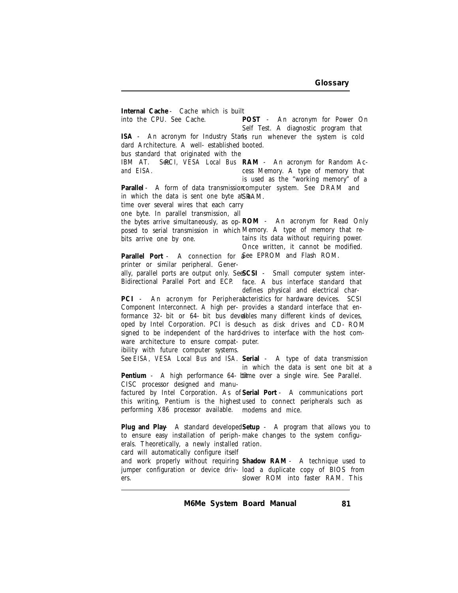Internal Cache - Cache which is built<br>into the CPU. See Cache. POST into the CPU. See Cache. ISA - An acronym for Industry Stan**i**s run whenever the system is cold dard Architecture. A well-established booted. bus standard that originated with the IBM AT. S**ee**CI, VESA Local Bus RAM - An acronym for Random Ac*and EISA.* **Parallel** - A form of data transmission computer system. See DRAM and in which the data is sent one byte a ${\tt \small SMAM}.$ time over several wires that each carry one byte. In parallel transmission, all the bytes arrive simultaneously, as op-**ROM** - An acronym for Read Only posed to serial transmission in which Memory. A type of memory that rebits arrive one by one. Parallel Port - A connection for **a**bee EPROM and Flash ROM. printer or similar peripheral. Generally, parallel ports are output only. See **SCSI** - Small computer system inter-Bidirectional Parallel Port and ECP. PCI - An acronym for Periphera*l*acteristics for hardware devices. SCSI Component Interconnect. A high per-provides a standard interface that enformance 32- bit or 64- bit bus develbles many different kinds of devices, oped by Intel Corporation. PCI is de-such as disk drives and CD-ROM signed to be independent of the hard-drives to interface with the host comware architecture to ensure compat-puter. ibility with future computer systems. See *EISA, VESA Local Bus and ISA.* **Serial** - A type of data transmission Pentium - A high performance 64- bii**t**me over a single wire. See Parallel. CISC processor designed and manufactured by Intel Corporation. As of **Serial Port** - A communications port this writing, Pentium is the highest used to connect peripherals such as performing X86 processor available. modems and mice. **Plug and Play** - A standard developed **Setup** - A program that allows you to to ensure easy installation of periph-make changes to the system configuerals. Theoretically, a newly installed ration. card will automatically configure itself and work properly without requiring **Shadow RAM** - A technique used to jumper configuration or device driv-load a duplicate copy of BIOS from ers. An acronym for Power On Self Test. A diagnostic program that cess Memory. A type of memory that is used as the "working memory" of a tains its data without requiring power. Once written, it cannot be modified. face. A bus interface standard that defines physical and electrical charin which the data is sent one bit at a slower ROM into faster RAM. This

*M6Me System Board Manual*

*81*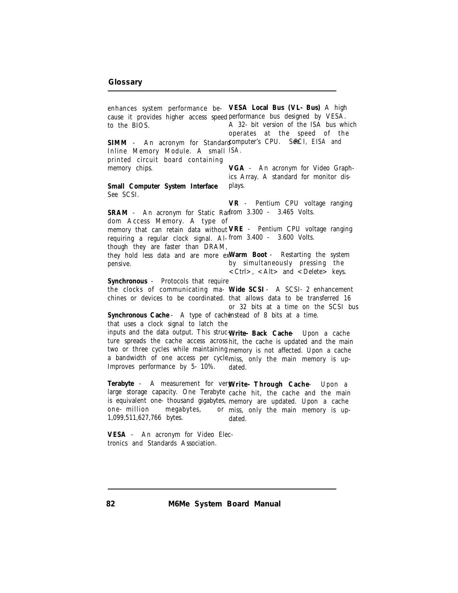enhances system performance be- VESA Local Bus (VL-Bus) A high cause it provides higher access speed performance bus designed by VESA. to the BIOS. SIMM - An acronym for Standard**computer's CPU. SeeCI, EISA** and Inline Memory Module. A small *ISA.* printed circuit board containing memory chips. **Small Computer System Interface** See SCSI. SRAM - An acronym for Static Ran**trom 3.300 - 3.465 Volts.** dom Access Memory. A type of memory that can retain data without **VRE** - Pentium CPU voltage ranging requiring a regular clock signal. Al-from 3.400 - 3.600 Volts. though they are faster than DRAM, they hold less data and are more ex-**Warm Boot** - Restarting the system pensive. **Synchronous** - Protocols that require the clocks of communicating ma-**Wide SCSI** - A SCSI-2 enhancement chines or devices to be coordinated. that allows data to be transferred 16 **Synchronous Cache** - A type of cache instead of 8 bits at a time. that uses a clock signal to latch the inputs and the data output. This struc-**Write-Back Cache** - Upon a cache ture spreads the cache access across hit, the cache is updated and the main two or three cycles while maintaining memory is not affected. Upon a cache a bandwidth of one access per cycle. miss, only the main memory is up-Improves performance by 5-10%. **Terabyte** - A measurement for very **Write-Through Cache** - Upon a large storage capacity. One Terabyte cache hit, the cache and the main is equivalent one-thousand gigabytes, memory are updated. Upon a cache one-million megabytes, 1,099,511,627,766 bytes. **VESA** - An acronym for Video Electronics and Standards Association. A 32-bit version of the ISA bus which operates at the speed of the **VGA** - An acronym for Video Graphics Array. A standard for monitor displays. **VR** - Pentium CPU voltage ranging by simultaneously pressing the  $\langle$  Ctrl $>$ ,  $\langle$  Alt $>$  and  $\langle$  Delete $>$  keys. or 32 bits at a time on the SCSI bus dated. or miss, only the main memory is updated.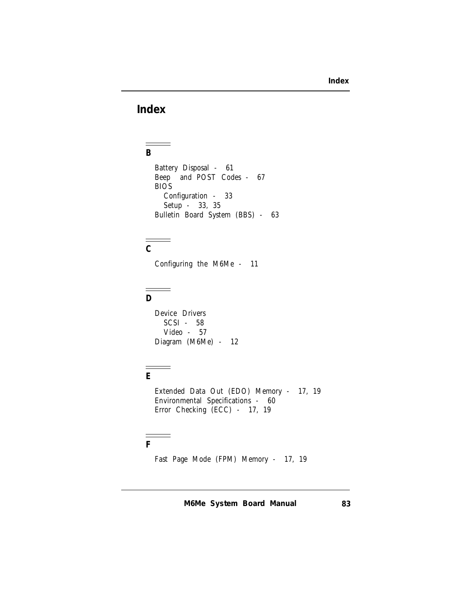## **Index**

 $\equiv$ **B**

> Battery Disposal - 61 Beep and POST Codes - 67 BIOS Configuration - 33 Setup - 33, 35 Bulletin Board System (BBS) - 63

# $\frac{1}{C}$

Configuring the M6Me - 11

# $\frac{1}{D}$

Device Drivers SCSI - 58 Video - 57 Diagram (M6Me) - 12

### **E**

i

Extended Data Out (EDO) Memory - 17, 19 Environmental Specifications - 60 Error Checking (ECC) - 17, 19

### **F**

Fast Page Mode (FPM) Memory - 17, 19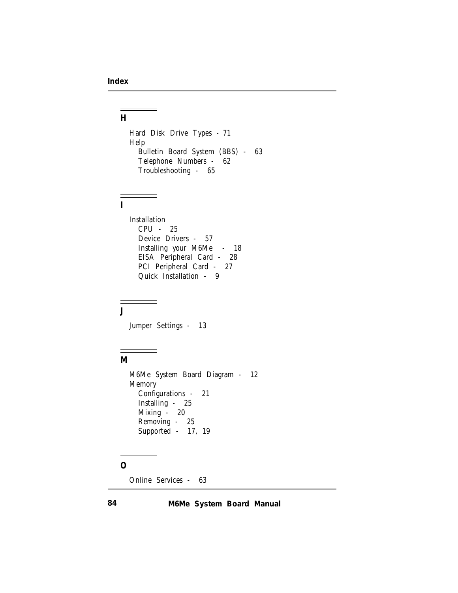#### $\equiv$ **H**

Hard Disk Drive Types - 71 Help Bulletin Board System (BBS) - 63 Telephone Numbers - 62 Troubleshooting - 65

#### **I**

÷

Installation CPU - 25 Device Drivers - 57 Installing your M6Me - 18 EISA Peripheral Card - 28 PCI Peripheral Card - 27 Quick Installation - 9

**J**

Jumper Settings - 13

### **M**

M6Me System Board Diagram - 12 Memory Configurations - 21 Installing - 25 Mixing - 20 Removing - 25 Supported - 17, 19

## **O**

Online Services - 63